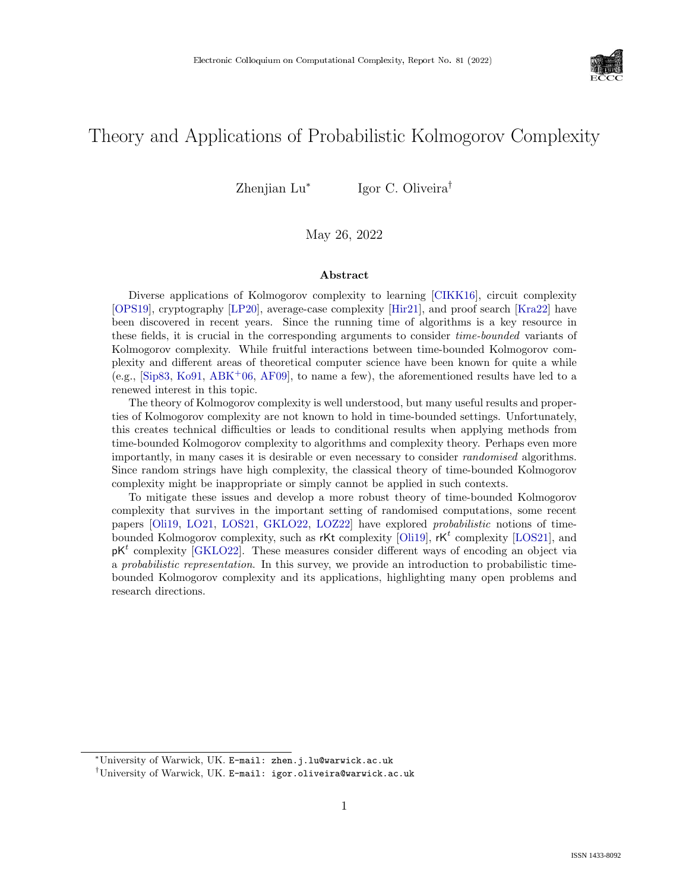

# Theory and Applications of Probabilistic Kolmogorov Complexity

Zhenjian Lu<sup>∗</sup> Igor C. Oliveira†

May 26, 2022

#### Abstract

Diverse applications of Kolmogorov complexity to learning [\[CIKK16\]](#page--1-0), circuit complexity [\[OPS19\]](#page--1-1), cryptography [\[LP20\]](#page--1-2), average-case complexity [\[Hir21\]](#page--1-3), and proof search [\[Kra22\]](#page--1-4) have been discovered in recent years. Since the running time of algorithms is a key resource in these fields, it is crucial in the corresponding arguments to consider *time-bounded* variants of Kolmogorov complexity. While fruitful interactions between time-bounded Kolmogorov complexity and different areas of theoretical computer science have been known for quite a while (e.g., [\[Sip83,](#page--1-5) [Ko91,](#page--1-6) [ABK](#page--1-7)+06, [AF09\]](#page--1-8), to name a few), the aforementioned results have led to a renewed interest in this topic.

The theory of Kolmogorov complexity is well understood, but many useful results and properties of Kolmogorov complexity are not known to hold in time-bounded settings. Unfortunately, this creates technical difficulties or leads to conditional results when applying methods from time-bounded Kolmogorov complexity to algorithms and complexity theory. Perhaps even more importantly, in many cases it is desirable or even necessary to consider randomised algorithms. Since random strings have high complexity, the classical theory of time-bounded Kolmogorov complexity might be inappropriate or simply cannot be applied in such contexts.

To mitigate these issues and develop a more robust theory of time-bounded Kolmogorov complexity that survives in the important setting of randomised computations, some recent papers [\[Oli19,](#page--1-9) [LO21,](#page--1-10) [LOS21,](#page--1-11) [GKLO22,](#page--1-12) [LOZ22\]](#page--1-13) have explored probabilistic notions of time-bounded Kolmogorov complexity, such as rKt complexity [\[Oli19\]](#page--1-9),  $rk<sup>t</sup>$  complexity [\[LOS21\]](#page--1-11), and  $pK<sup>t</sup>$  complexity [\[GKLO22\]](#page--1-12). These measures consider different ways of encoding an object via a probabilistic representation. In this survey, we provide an introduction to probabilistic timebounded Kolmogorov complexity and its applications, highlighting many open problems and research directions.

<sup>∗</sup>University of Warwick, UK. E-mail: zhen.j.lu@warwick.ac.uk

<sup>†</sup>University of Warwick, UK. E-mail: igor.oliveira@warwick.ac.uk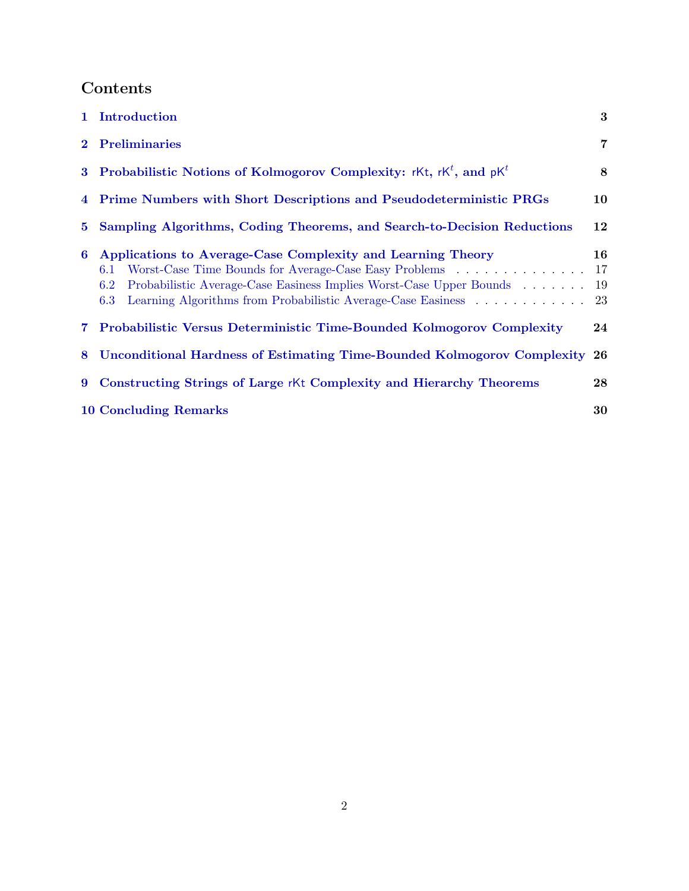# Contents

|             | 1 Introduction                                                                                                                                                                                                                                                                      | $\bf{3}$        |
|-------------|-------------------------------------------------------------------------------------------------------------------------------------------------------------------------------------------------------------------------------------------------------------------------------------|-----------------|
|             | 2 Preliminaries                                                                                                                                                                                                                                                                     | $\overline{7}$  |
|             | 3 Probabilistic Notions of Kolmogorov Complexity: rKt, $rk^t$ , and $pk^t$                                                                                                                                                                                                          | 8               |
|             | 4 Prime Numbers with Short Descriptions and Pseudodeterministic PRGs                                                                                                                                                                                                                | 10              |
| $5^{\circ}$ | Sampling Algorithms, Coding Theorems, and Search-to-Decision Reductions                                                                                                                                                                                                             | $12\,$          |
| 6           | Applications to Average-Case Complexity and Learning Theory<br>Worst-Case Time Bounds for Average-Case Easy Problems<br>6.1<br>Probabilistic Average-Case Easiness Implies Worst-Case Upper Bounds<br>6.2<br>Learning Algorithms from Probabilistic Average-Case Easiness 23<br>6.3 | 16<br>17<br>-19 |
|             | 7 Probabilistic Versus Deterministic Time-Bounded Kolmogorov Complexity                                                                                                                                                                                                             | 24              |
| 8           | <b>Unconditional Hardness of Estimating Time-Bounded Kolmogorov Complexity 26</b>                                                                                                                                                                                                   |                 |
| 9           | <b>Constructing Strings of Large rKt Complexity and Hierarchy Theorems</b>                                                                                                                                                                                                          | 28              |
|             | <b>10 Concluding Remarks</b>                                                                                                                                                                                                                                                        | 30              |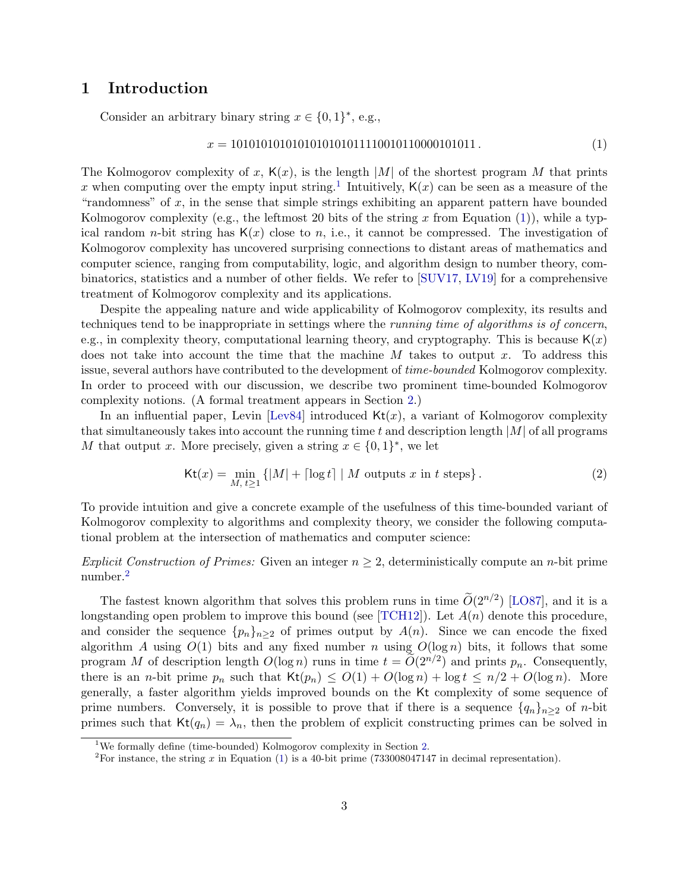## <span id="page-2-0"></span>1 Introduction

Consider an arbitrary binary string  $x \in \{0,1\}^*$ , e.g.,

<span id="page-2-2"></span>
$$
x = 101010101010101010111100101110000101011.
$$
 (1)

The Kolmogorov complexity of x,  $K(x)$ , is the length |M| of the shortest program M that prints x when computing over the empty input string.<sup>[1](#page-2-1)</sup> Intuitively,  $\mathsf{K}(x)$  can be seen as a measure of the "randomness" of  $x$ , in the sense that simple strings exhibiting an apparent pattern have bounded Kolmogorov complexity (e.g., the leftmost 20 bits of the string x from Equation [\(1\)](#page-2-2)), while a typical random *n*-bit string has  $K(x)$  close to *n*, i.e., it cannot be compressed. The investigation of Kolmogorov complexity has uncovered surprising connections to distant areas of mathematics and computer science, ranging from computability, logic, and algorithm design to number theory, combinatorics, statistics and a number of other fields. We refer to [\[SUV17,](#page--1-14) [LV19\]](#page-32-0) for a comprehensive treatment of Kolmogorov complexity and its applications.

Despite the appealing nature and wide applicability of Kolmogorov complexity, its results and techniques tend to be inappropriate in settings where the running time of algorithms is of concern, e.g., in complexity theory, computational learning theory, and cryptography. This is because  $K(x)$ does not take into account the time that the machine  $M$  takes to output  $x$ . To address this issue, several authors have contributed to the development of time-bounded Kolmogorov complexity. In order to proceed with our discussion, we describe two prominent time-bounded Kolmogorov complexity notions. (A formal treatment appears in Section [2.](#page-6-0))

In an influential paper, Levin [\[Lev84\]](#page-32-1) introduced  $Kt(x)$ , a variant of Kolmogorov complexity that simultaneously takes into account the running time t and description length  $|M|$  of all programs M that output x. More precisely, given a string  $x \in \{0,1\}^*$ , we let

$$
\mathsf{Kt}(x) = \min_{M, t \ge 1} \left\{ |M| + \lceil \log t \rceil \mid M \text{ outputs } x \text{ in } t \text{ steps} \right\}. \tag{2}
$$

To provide intuition and give a concrete example of the usefulness of this time-bounded variant of Kolmogorov complexity to algorithms and complexity theory, we consider the following computational problem at the intersection of mathematics and computer science:

### Explicit Construction of Primes: Given an integer  $n \geq 2$ , deterministically compute an n-bit prime number.[2](#page-2-3)

The fastest known algorithm that solves this problem runs in time  $O(2^{n/2})$  [\[LO87\]](#page-32-2), and it is a longstanding open problem to improve this bound (see [\[TCH12\]](#page--1-15)). Let  $A(n)$  denote this procedure, and consider the sequence  $\{p_n\}_{n\geq 2}$  of primes output by  $A(n)$ . Since we can encode the fixed algorithm A using  $O(1)$  bits and any fixed number n using  $O(\log n)$  bits, it follows that some program M of description length  $O(\log n)$  runs in time  $t = \widetilde{O}(2^{n/2})$  and prints  $p_n$ . Consequently, there is an *n*-bit prime  $p_n$  such that  $\text{Kt}(p_n) \leq O(1) + O(\log n) + \log t \leq n/2 + O(\log n)$ . More generally, a faster algorithm yields improved bounds on the Kt complexity of some sequence of prime numbers. Conversely, it is possible to prove that if there is a sequence  $\{q_n\}_{n\geq 2}$  of n-bit primes such that  $\text{Kt}(q_n) = \lambda_n$ , then the problem of explicit constructing primes can be solved in

<span id="page-2-1"></span><sup>&</sup>lt;sup>1</sup>We formally define (time-bounded) Kolmogorov complexity in Section [2.](#page-6-0)

<span id="page-2-3"></span><sup>&</sup>lt;sup>2</sup>For instance, the string x in Equation [\(1\)](#page-2-2) is a 40-bit prime (733008047147 in decimal representation).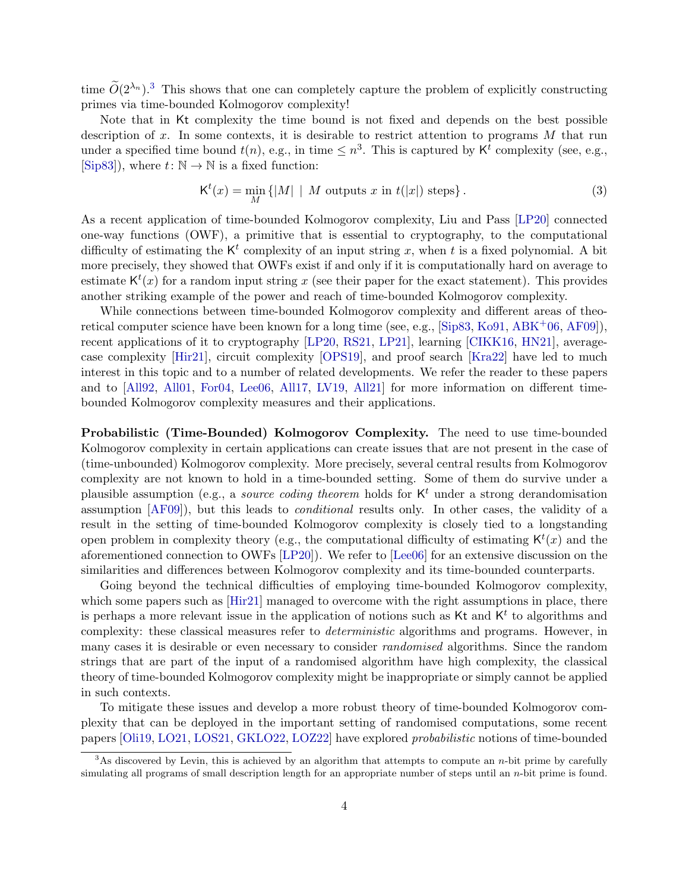time  $\tilde{O}(2^{\lambda_n})$ .<sup>[3](#page-3-0)</sup> This shows that one can completely capture the problem of explicitly constructing primes via time-bounded Kolmogorov complexity!

Note that in Kt complexity the time bound is not fixed and depends on the best possible description of x. In some contexts, it is desirable to restrict attention to programs  $M$  that run under a specified time bound  $t(n)$ , e.g., in time  $\leq n^3$ . This is captured by  $\mathsf{K}^t$  complexity (see, e.g.,  $[Sing83]$ , where  $t: \mathbb{N} \to \mathbb{N}$  is a fixed function:

$$
\mathsf{K}^{t}(x) = \min_{M} \{|M| \mid M \text{ outputs } x \text{ in } t(|x|) \text{ steps}\}.
$$
 (3)

As a recent application of time-bounded Kolmogorov complexity, Liu and Pass [\[LP20\]](#page-32-3) connected one-way functions (OWF), a primitive that is essential to cryptography, to the computational difficulty of estimating the  $K^t$  complexity of an input string x, when t is a fixed polynomial. A bit more precisely, they showed that OWFs exist if and only if it is computationally hard on average to estimate  $\mathsf{K}^{t}(x)$  for a random input string x (see their paper for the exact statement). This provides another striking example of the power and reach of time-bounded Kolmogorov complexity.

While connections between time-bounded Kolmogorov complexity and different areas of theo-retical computer science have been known for a long time (see, e.g., [\[Sip83,](#page--1-5) [Ko91,](#page-32-4) [ABK](#page-29-1)+06, [AF09\]](#page-29-2)), recent applications of it to cryptography [\[LP20,](#page-32-3) [RS21,](#page--1-16) [LP21\]](#page-32-5), learning [\[CIKK16,](#page-30-0) [HN21\]](#page-31-0), averagecase complexity [\[Hir21\]](#page-31-1), circuit complexity [\[OPS19\]](#page--1-1), and proof search [\[Kra22\]](#page-32-6) have led to much interest in this topic and to a number of related developments. We refer the reader to these papers and to [\[All92,](#page-30-1) [All01,](#page-30-2) [For04,](#page-30-3) [Lee06,](#page-32-7) [All17,](#page-30-4) [LV19,](#page-32-0) [All21\]](#page-30-5) for more information on different timebounded Kolmogorov complexity measures and their applications.

Probabilistic (Time-Bounded) Kolmogorov Complexity. The need to use time-bounded Kolmogorov complexity in certain applications can create issues that are not present in the case of (time-unbounded) Kolmogorov complexity. More precisely, several central results from Kolmogorov complexity are not known to hold in a time-bounded setting. Some of them do survive under a plausible assumption (e.g., a *source coding theorem* holds for  $K<sup>t</sup>$  under a strong derandomisation assumption [\[AF09\]](#page-29-2)), but this leads to conditional results only. In other cases, the validity of a result in the setting of time-bounded Kolmogorov complexity is closely tied to a longstanding open problem in complexity theory (e.g., the computational difficulty of estimating  $\mathsf{K}^{t}(x)$  and the aforementioned connection to OWFs [\[LP20\]](#page-32-3)). We refer to [\[Lee06\]](#page-32-7) for an extensive discussion on the similarities and differences between Kolmogorov complexity and its time-bounded counterparts.

Going beyond the technical difficulties of employing time-bounded Kolmogorov complexity, which some papers such as [\[Hir21\]](#page-31-1) managed to overcome with the right assumptions in place, there is perhaps a more relevant issue in the application of notions such as  $\mathsf{K}$ t and  $\mathsf{K}^t$  to algorithms and complexity: these classical measures refer to deterministic algorithms and programs. However, in many cases it is desirable or even necessary to consider randomised algorithms. Since the random strings that are part of the input of a randomised algorithm have high complexity, the classical theory of time-bounded Kolmogorov complexity might be inappropriate or simply cannot be applied in such contexts.

To mitigate these issues and develop a more robust theory of time-bounded Kolmogorov complexity that can be deployed in the important setting of randomised computations, some recent papers [\[Oli19,](#page-32-8) [LO21,](#page-32-9) [LOS21,](#page-32-10) [GKLO22,](#page-31-2) [LOZ22\]](#page-32-11) have explored probabilistic notions of time-bounded

<span id="page-3-0"></span> $3$ As discovered by Levin, this is achieved by an algorithm that attempts to compute an *n*-bit prime by carefully simulating all programs of small description length for an appropriate number of steps until an *n*-bit prime is found.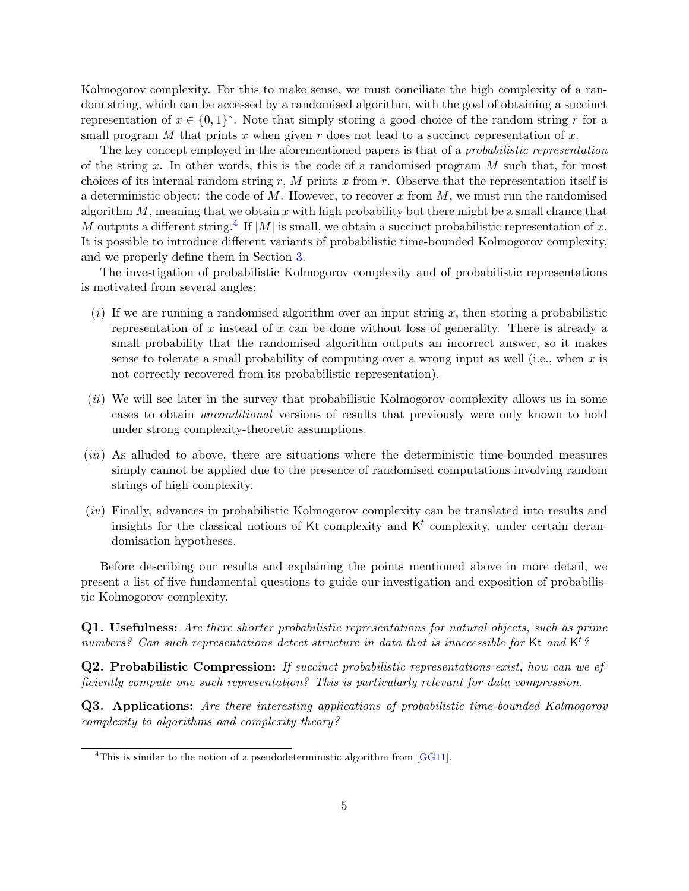Kolmogorov complexity. For this to make sense, we must conciliate the high complexity of a random string, which can be accessed by a randomised algorithm, with the goal of obtaining a succinct representation of  $x \in \{0,1\}^*$ . Note that simply storing a good choice of the random string r for a small program M that prints x when given r does not lead to a succinct representation of x.

The key concept employed in the aforementioned papers is that of a *probabilistic representation* of the string x. In other words, this is the code of a randomised program  $M$  such that, for most choices of its internal random string r, M prints x from r. Observe that the representation itself is a deterministic object: the code of  $M$ . However, to recover x from  $M$ , we must run the randomised algorithm  $M$ , meaning that we obtain  $x$  with high probability but there might be a small chance that M outputs a different string.<sup>[4](#page-4-0)</sup> If  $|M|$  is small, we obtain a succinct probabilistic representation of x. It is possible to introduce different variants of probabilistic time-bounded Kolmogorov complexity, and we properly define them in Section [3.](#page-7-0)

The investigation of probabilistic Kolmogorov complexity and of probabilistic representations is motivated from several angles:

- $(i)$  If we are running a randomised algorithm over an input string x, then storing a probabilistic representation of x instead of  $x$  can be done without loss of generality. There is already a small probability that the randomised algorithm outputs an incorrect answer, so it makes sense to tolerate a small probability of computing over a wrong input as well (i.e., when  $x$  is not correctly recovered from its probabilistic representation).
- $(ii)$  We will see later in the survey that probabilistic Kolmogorov complexity allows us in some cases to obtain unconditional versions of results that previously were only known to hold under strong complexity-theoretic assumptions.
- (iii) As alluded to above, there are situations where the deterministic time-bounded measures simply cannot be applied due to the presence of randomised computations involving random strings of high complexity.
- (iv) Finally, advances in probabilistic Kolmogorov complexity can be translated into results and insights for the classical notions of Kt complexity and  $K<sup>t</sup>$  complexity, under certain derandomisation hypotheses.

Before describing our results and explaining the points mentioned above in more detail, we present a list of five fundamental questions to guide our investigation and exposition of probabilistic Kolmogorov complexity.

Q1. Usefulness: Are there shorter probabilistic representations for natural objects, such as prime numbers? Can such representations detect structure in data that is inaccessible for Kt and  $\mathsf{K}^t$ ?

Q2. Probabilistic Compression: If succinct probabilistic representations exist, how can we efficiently compute one such representation? This is particularly relevant for data compression.

Q3. Applications: Are there interesting applications of probabilistic time-bounded Kolmogorov complexity to algorithms and complexity theory?

<span id="page-4-0"></span><sup>&</sup>lt;sup>4</sup>This is similar to the notion of a pseudodeterministic algorithm from [\[GG11\]](#page-30-6).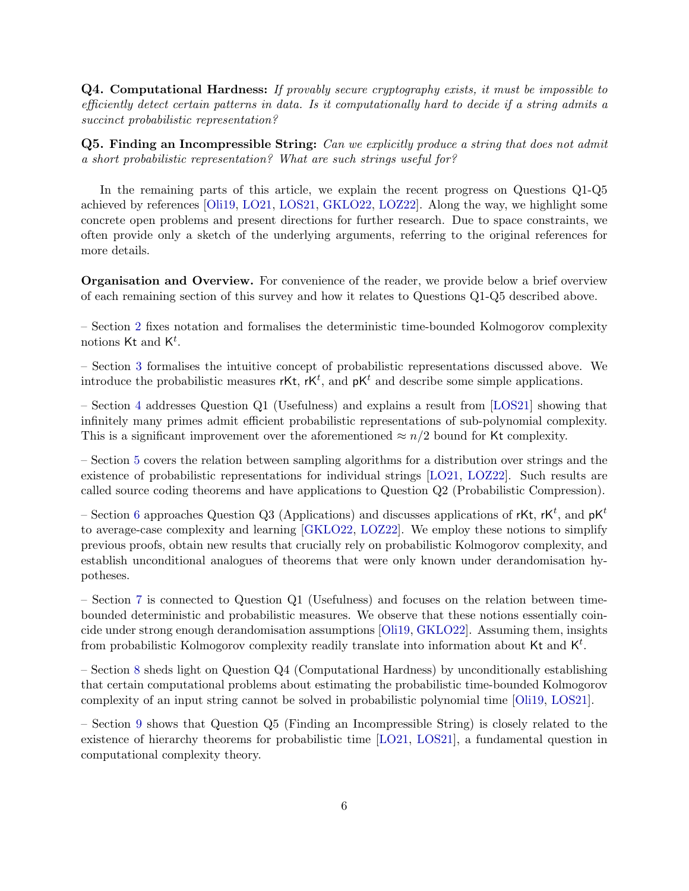Q4. Computational Hardness: If provably secure cryptography exists, it must be impossible to efficiently detect certain patterns in data. Is it computationally hard to decide if a string admits a succinct probabilistic representation?

Q5. Finding an Incompressible String: Can we explicitly produce a string that does not admit a short probabilistic representation? What are such strings useful for?

In the remaining parts of this article, we explain the recent progress on Questions Q1-Q5 achieved by references [\[Oli19,](#page-32-8) [LO21,](#page-32-9) [LOS21,](#page-32-10) [GKLO22,](#page-31-2) [LOZ22\]](#page-32-11). Along the way, we highlight some concrete open problems and present directions for further research. Due to space constraints, we often provide only a sketch of the underlying arguments, referring to the original references for more details.

Organisation and Overview. For convenience of the reader, we provide below a brief overview of each remaining section of this survey and how it relates to Questions Q1-Q5 described above.

– Section [2](#page-6-0) fixes notation and formalises the deterministic time-bounded Kolmogorov complexity notions  $\mathsf{Kt}$  and  $\mathsf{K}^t$ .

– Section [3](#page-7-0) formalises the intuitive concept of probabilistic representations discussed above. We introduce the probabilistic measures rKt, rK<sup>t</sup>, and  $pK<sup>t</sup>$  and describe some simple applications.

– Section [4](#page-9-0) addresses Question Q1 (Usefulness) and explains a result from [\[LOS21\]](#page-32-10) showing that infinitely many primes admit efficient probabilistic representations of sub-polynomial complexity. This is a significant improvement over the aforementioned  $\approx n/2$  bound for Kt complexity.

– Section [5](#page-11-0) covers the relation between sampling algorithms for a distribution over strings and the existence of probabilistic representations for individual strings [\[LO21,](#page-32-9) [LOZ22\]](#page-32-11). Such results are called source coding theorems and have applications to Question Q2 (Probabilistic Compression).

– Section [6](#page-15-0) approaches Question Q3 (Applications) and discusses applications of rKt, rK<sup>t</sup>, and  $pK<sup>t</sup>$ to average-case complexity and learning [\[GKLO22,](#page-31-2) [LOZ22\]](#page-32-11). We employ these notions to simplify previous proofs, obtain new results that crucially rely on probabilistic Kolmogorov complexity, and establish unconditional analogues of theorems that were only known under derandomisation hypotheses.

– Section [7](#page-23-0) is connected to Question Q1 (Usefulness) and focuses on the relation between timebounded deterministic and probabilistic measures. We observe that these notions essentially coincide under strong enough derandomisation assumptions [\[Oli19,](#page-32-8) [GKLO22\]](#page-31-2). Assuming them, insights from probabilistic Kolmogorov complexity readily translate into information about Kt and  $K^t$ .

– Section [8](#page-25-0) sheds light on Question Q4 (Computational Hardness) by unconditionally establishing that certain computational problems about estimating the probabilistic time-bounded Kolmogorov complexity of an input string cannot be solved in probabilistic polynomial time [\[Oli19,](#page-32-8) [LOS21\]](#page-32-10).

– Section [9](#page-27-0) shows that Question Q5 (Finding an Incompressible String) is closely related to the existence of hierarchy theorems for probabilistic time [\[LO21,](#page-32-9) [LOS21\]](#page-32-10), a fundamental question in computational complexity theory.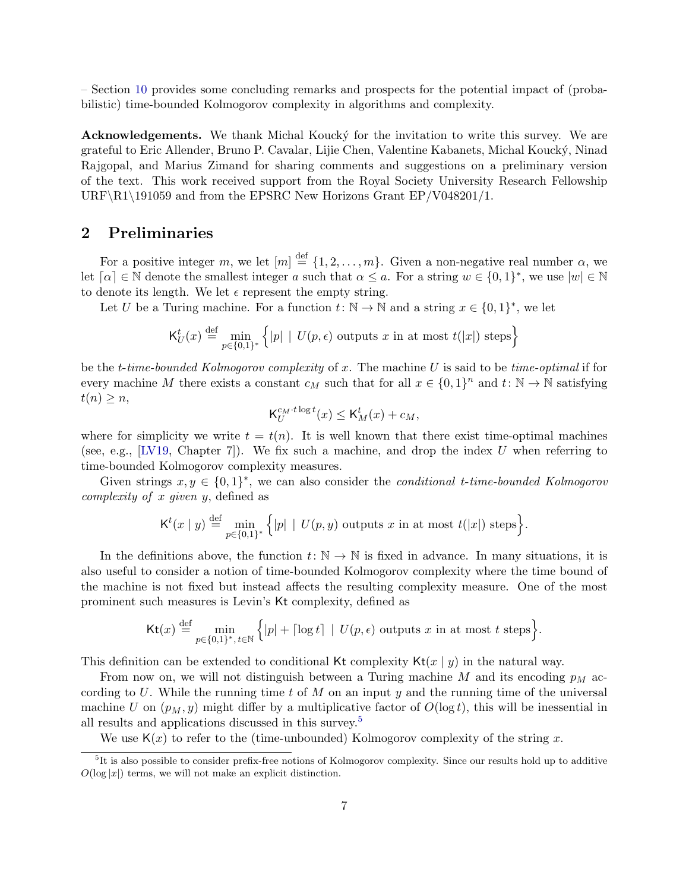– Section [10](#page-29-0) provides some concluding remarks and prospects for the potential impact of (probabilistic) time-bounded Kolmogorov complexity in algorithms and complexity.

Acknowledgements. We thank Michal Koucky for the invitation to write this survey. We are grateful to Eric Allender, Bruno P. Cavalar, Lijie Chen, Valentine Kabanets, Michal Kouck´y, Ninad Rajgopal, and Marius Zimand for sharing comments and suggestions on a preliminary version of the text. This work received support from the Royal Society University Research Fellowship URF\R1\191059 and from the EPSRC New Horizons Grant EP/V048201/1.

### <span id="page-6-0"></span>2 Preliminaries

For a positive integer m, we let  $[m] \stackrel{\text{def}}{=} \{1, 2, ..., m\}$ . Given a non-negative real number  $\alpha$ , we let  $\lceil \alpha \rceil \in \mathbb{N}$  denote the smallest integer a such that  $\alpha \leq a$ . For a string  $w \in \{0,1\}^*$ , we use  $|w| \in \mathbb{N}$ to denote its length. We let  $\epsilon$  represent the empty string.

Let U be a Turing machine. For a function  $t: \mathbb{N} \to \mathbb{N}$  and a string  $x \in \{0,1\}^*$ , we let

$$
\mathsf{K}_U^t(x) \stackrel{\text{def}}{=} \min_{p \in \{0,1\}^*} \left\{ |p| \mid U(p, \epsilon) \text{ outputs } x \text{ in at most } t(|x|) \text{ steps} \right\}
$$

be the t-time-bounded Kolmogorov complexity of x. The machine U is said to be time-optimal if for every machine M there exists a constant  $c_M$  such that for all  $x \in \{0,1\}^n$  and  $t: \mathbb{N} \to \mathbb{N}$  satisfying  $t(n) \geq n$ ,

$$
\mathsf{K}_U^{c_M \cdot t \log t}(x) \le \mathsf{K}_M^t(x) + c_M,
$$

where for simplicity we write  $t = t(n)$ . It is well known that there exist time-optimal machines (see, e.g., [\[LV19,](#page-32-0) Chapter 7]). We fix such a machine, and drop the index U when referring to time-bounded Kolmogorov complexity measures.

Given strings  $x, y \in \{0, 1\}^*$ , we can also consider the *conditional t-time-bounded Kolmogorov* complexity of x given y, defined as

$$
\mathsf{K}^{t}(x \mid y) \stackrel{\text{def}}{=} \min_{p \in \{0,1\}^{*}} \Big\{ |p| \mid U(p,y) \text{ outputs } x \text{ in at most } t(|x|) \text{ steps} \Big\}.
$$

In the definitions above, the function  $t: \mathbb{N} \to \mathbb{N}$  is fixed in advance. In many situations, it is also useful to consider a notion of time-bounded Kolmogorov complexity where the time bound of the machine is not fixed but instead affects the resulting complexity measure. One of the most prominent such measures is Levin's Kt complexity, defined as

$$
\mathsf{Kt}(x) \stackrel{\text{def}}{=} \min_{p \in \{0,1\}^*, t \in \mathbb{N}} \Big\{ |p| + \lceil \log t \rceil \mid U(p,\epsilon) \text{ outputs } x \text{ in at most } t \text{ steps} \Big\}.
$$

This definition can be extended to conditional Kt complexity  $Kt(x | y)$  in the natural way.

From now on, we will not distinguish between a Turing machine M and its encoding  $p_M$  according to U. While the running time t of M on an input y and the running time of the universal machine U on  $(p_M, y)$  might differ by a multiplicative factor of  $O(\log t)$ , this will be inessential in all results and applications discussed in this survey.[5](#page-6-1)

<span id="page-6-1"></span>We use  $K(x)$  to refer to the (time-unbounded) Kolmogorov complexity of the string x.

<sup>&</sup>lt;sup>5</sup>It is also possible to consider prefix-free notions of Kolmogorov complexity. Since our results hold up to additive  $O(\log |x|)$  terms, we will not make an explicit distinction.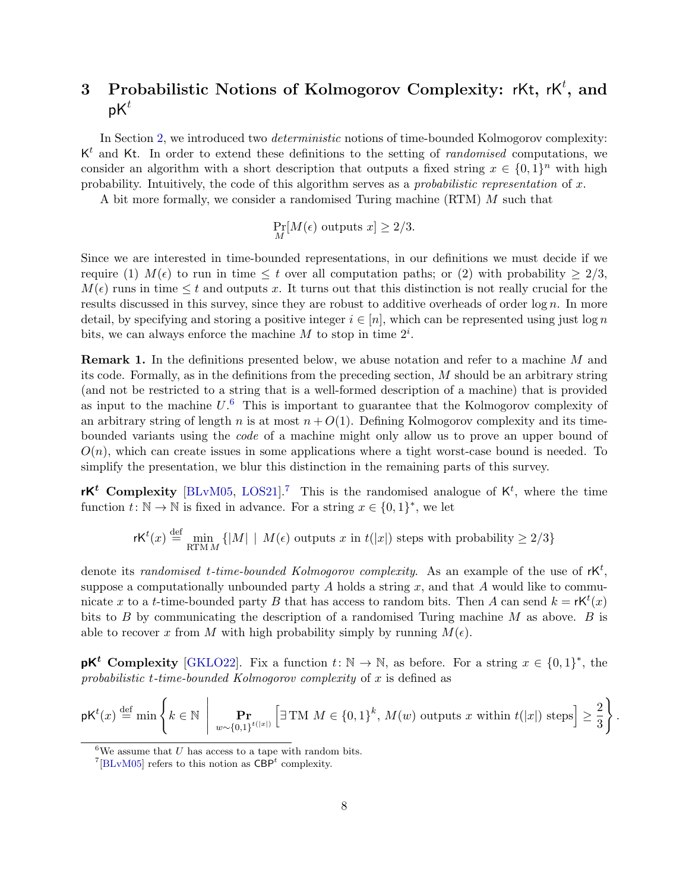# <span id="page-7-0"></span>3 Probabilistic Notions of Kolmogorov Complexity: rKt, rK<sup>t</sup>, and  $pK^t$

In Section [2,](#page-6-0) we introduced two *deterministic* notions of time-bounded Kolmogorov complexity:  $K<sup>t</sup>$  and Kt. In order to extend these definitions to the setting of *randomised* computations, we consider an algorithm with a short description that outputs a fixed string  $x \in \{0,1\}^n$  with high probability. Intuitively, the code of this algorithm serves as a *probabilistic representation* of  $x$ .

A bit more formally, we consider a randomised Turing machine (RTM) M such that

$$
\Pr_M[M(\epsilon) \text{ outputs } x] \ge 2/3.
$$

Since we are interested in time-bounded representations, in our definitions we must decide if we require (1)  $M(\epsilon)$  to run in time  $\leq t$  over all computation paths; or (2) with probability  $\geq 2/3$ ,  $M(\epsilon)$  runs in time  $\leq t$  and outputs x. It turns out that this distinction is not really crucial for the results discussed in this survey, since they are robust to additive overheads of order  $\log n$ . In more detail, by specifying and storing a positive integer  $i \in [n]$ , which can be represented using just log n bits, we can always enforce the machine  $M$  to stop in time  $2^i$ .

**Remark 1.** In the definitions presented below, we abuse notation and refer to a machine M and its code. Formally, as in the definitions from the preceding section, M should be an arbitrary string (and not be restricted to a string that is a well-formed description of a machine) that is provided as input to the machine  $U^6$  $U^6$ . This is important to guarantee that the Kolmogorov complexity of an arbitrary string of length n is at most  $n + O(1)$ . Defining Kolmogorov complexity and its timebounded variants using the code of a machine might only allow us to prove an upper bound of  $O(n)$ , which can create issues in some applications where a tight worst-case bound is needed. To simplify the presentation, we blur this distinction in the remaining parts of this survey.

rK<sup>t</sup> Complexity [\[BLvM05,](#page-30-7) [LOS21\]](#page-32-10).<sup>[7](#page-7-2)</sup> This is the randomised analogue of  $K^t$ , where the time function  $t: \mathbb{N} \to \mathbb{N}$  is fixed in advance. For a string  $x \in \{0,1\}^*$ , we let

$$
\mathsf{rK}^t(x) \stackrel{\text{def}}{=} \min_{\text{RTMM}} \{|M| \mid M(\epsilon) \text{ outputs } x \text{ in } t(|x|) \text{ steps with probability } \ge 2/3\}
$$

denote its randomised t-time-bounded Kolmogorov complexity. As an example of the use of  $\mathsf{rk}^t$ , suppose a computationally unbounded party  $A$  holds a string  $x$ , and that  $A$  would like to communicate x to a t-time-bounded party B that has access to random bits. Then A can send  $k = \mathsf{rk}^t(x)$ bits to  $B$  by communicating the description of a randomised Turing machine  $M$  as above.  $B$  is able to recover x from M with high probability simply by running  $M(\epsilon)$ .

**pK<sup>t</sup>** Complexity [\[GKLO22\]](#page-31-2). Fix a function  $t: \mathbb{N} \to \mathbb{N}$ , as before. For a string  $x \in \{0,1\}^*$ , the probabilistic t-time-bounded Kolmogorov complexity of  $x$  is defined as

$$
\mathsf{pK}^t(x) \stackrel{\text{def}}{=} \min \left\{ k \in \mathbb{N} \: \left| \: \prod_{w \sim \{0,1\}^{t(|x|)}} \left[ \exists \operatorname{TM} \, M \in \{0,1\}^k, \, M(w) \text{ outputs } x \text{ within } t(|x|) \text{ steps} \right] \ge \frac{2}{3} \right\}.
$$

<span id="page-7-1"></span> ${}^{6}$ We assume that U has access to a tape with random bits.

<span id="page-7-2"></span><sup>&</sup>lt;sup>7</sup>[\[BLvM05\]](#page-30-7) refers to this notion as  $CBP<sup>t</sup>$  complexity.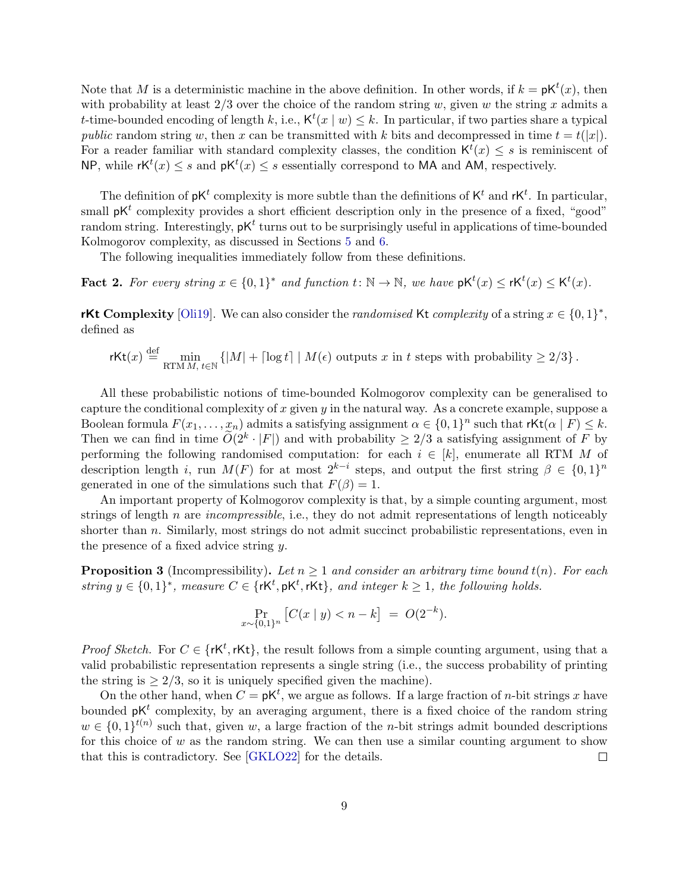Note that M is a deterministic machine in the above definition. In other words, if  $k = pK^t(x)$ , then with probability at least  $2/3$  over the choice of the random string w, given w the string x admits a t-time-bounded encoding of length k, i.e.,  $\mathsf{K}^t(x \mid w) \leq k$ . In particular, if two parties share a typical public random string w, then x can be transmitted with k bits and decompressed in time  $t = t(|x|)$ . For a reader familiar with standard complexity classes, the condition  $\mathsf{K}^{t}(x) \leq s$  is reminiscent of NP, while  $\mathsf{r} \mathsf{K}^t(x) \leq s$  and  $\mathsf{p} \mathsf{K}^t(x) \leq s$  essentially correspond to MA and AM, respectively.

The definition of  $pK^t$  complexity is more subtle than the definitions of  $K^t$  and  $rK^t$ . In particular, small  $pK<sup>t</sup>$  complexity provides a short efficient description only in the presence of a fixed, "good" random string. Interestingly,  $\not{p}K^t$  turns out to be surprisingly useful in applications of time-bounded Kolmogorov complexity, as discussed in Sections [5](#page-11-0) and [6.](#page-15-0)

The following inequalities immediately follow from these definitions.

**Fact 2.** For every string  $x \in \{0,1\}^*$  and function  $t: \mathbb{N} \to \mathbb{N}$ , we have  $pK^t(x) \le rK^t(x) \le K^t(x)$ .

rKt Complexity [\[Oli19\]](#page-32-8). We can also consider the *randomised* Kt *complexity* of a string  $x \in \{0,1\}^*$ , defined as

$$
\mathsf{rKt}(x) \stackrel{\text{def}}{=} \min_{\text{RTMM},\,t \in \mathbb{N}} \left\{ |M| + \lceil \log t \rceil \mid M(\epsilon) \text{ outputs } x \text{ in } t \text{ steps with probability } \geq 2/3 \right\}.
$$

All these probabilistic notions of time-bounded Kolmogorov complexity can be generalised to capture the conditional complexity of x given  $y$  in the natural way. As a concrete example, suppose a Boolean formula  $F(x_1, \ldots, x_n)$  admits a satisfying assignment  $\alpha \in \{0,1\}^n$  such that  $\mathsf{rkt}(\alpha \mid F) \leq k$ . Then we can find in time  $\widetilde{O}(2^k \cdot |F|)$  and with probability  $\geq 2/3$  a satisfying assignment of F by performing the following randomised computation: for each  $i \in [k]$ , enumerate all RTM M of description length i, run  $M(F)$  for at most  $2^{k-i}$  steps, and output the first string  $\beta \in \{0,1\}^n$ generated in one of the simulations such that  $F(\beta) = 1$ .

An important property of Kolmogorov complexity is that, by a simple counting argument, most strings of length n are *incompressible*, i.e., they do not admit representations of length noticeably shorter than  $n$ . Similarly, most strings do not admit succinct probabilistic representations, even in the presence of a fixed advice string y.

<span id="page-8-0"></span>**Proposition 3** (Incompressibility). Let  $n \geq 1$  and consider an arbitrary time bound  $t(n)$ . For each string  $y \in \{0,1\}^*$ , measure  $C \in \{rk^t, pK^t, rKt\}$ , and integer  $k \geq 1$ , the following holds.

$$
\Pr_{x \sim \{0,1\}^n} \left[ C(x \mid y) < n - k \right] \ = \ O(2^{-k}).
$$

*Proof Sketch.* For  $C \in \{rk^t, rk\}$ , the result follows from a simple counting argument, using that a valid probabilistic representation represents a single string (i.e., the success probability of printing the string is  $\geq 2/3$ , so it is uniquely specified given the machine).

On the other hand, when  $C = pK^t$ , we argue as follows. If a large fraction of *n*-bit strings x have bounded  $pK^t$  complexity, by an averaging argument, there is a fixed choice of the random string  $w \in \{0,1\}^{t(n)}$  such that, given w, a large fraction of the *n*-bit strings admit bounded descriptions for this choice of  $w$  as the random string. We can then use a similar counting argument to show that this is contradictory. See [\[GKLO22\]](#page-31-2) for the details.  $\Box$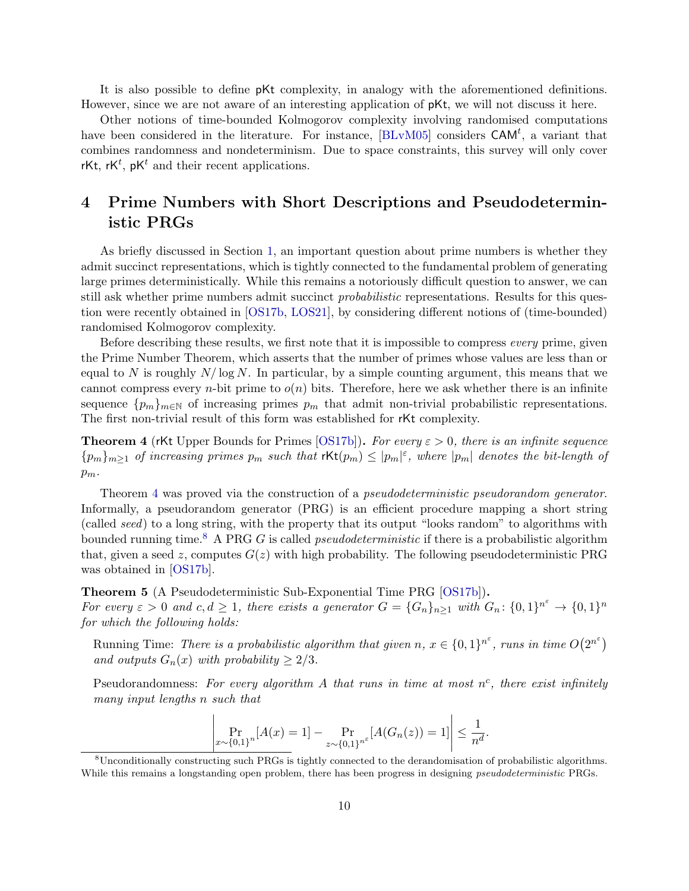It is also possible to define pKt complexity, in analogy with the aforementioned definitions. However, since we are not aware of an interesting application of pKt, we will not discuss it here.

Other notions of time-bounded Kolmogorov complexity involving randomised computations have been considered in the literature. For instance,  $[BLvM05]$  considers  $CAM<sup>t</sup>$ , a variant that combines randomness and nondeterminism. Due to space constraints, this survey will only cover rKt, rK<sup>t</sup>,  $pK^t$  and their recent applications.

## <span id="page-9-0"></span>4 Prime Numbers with Short Descriptions and Pseudodeterministic PRGs

As briefly discussed in Section [1,](#page-2-0) an important question about prime numbers is whether they admit succinct representations, which is tightly connected to the fundamental problem of generating large primes deterministically. While this remains a notoriously difficult question to answer, we can still ask whether prime numbers admit succinct *probabilistic* representations. Results for this question were recently obtained in [\[OS17b,](#page--1-17) [LOS21\]](#page-32-10), by considering different notions of (time-bounded) randomised Kolmogorov complexity.

Before describing these results, we first note that it is impossible to compress *every* prime, given the Prime Number Theorem, which asserts that the number of primes whose values are less than or equal to N is roughly  $N/\log N$ . In particular, by a simple counting argument, this means that we cannot compress every *n*-bit prime to  $o(n)$  bits. Therefore, here we ask whether there is an infinite sequence  ${p_m}_{m\in\mathbb{N}}$  of increasing primes  $p_m$  that admit non-trivial probabilistic representations. The first non-trivial result of this form was established for rKt complexity.

<span id="page-9-1"></span>**Theorem 4** (rKt Upper Bounds for Primes [\[OS17b\]](#page--1-17)). For every  $\varepsilon > 0$ , there is an infinite sequence  ${p_m}_{m\geq 1}$  of increasing primes  $p_m$  such that  $\textsf{rKt}(p_m) \leq |p_m|^{\varepsilon}$ , where  $|p_m|$  denotes the bit-length of  $p_m$ .

Theorem [4](#page-9-1) was proved via the construction of a *pseudodeterministic pseudorandom generator*. Informally, a pseudorandom generator (PRG) is an efficient procedure mapping a short string (called seed) to a long string, with the property that its output "looks random" to algorithms with bounded running time.<sup>[8](#page-9-2)</sup> A PRG G is called *pseudodeterministic* if there is a probabilistic algorithm that, given a seed z, computes  $G(z)$  with high probability. The following pseudodeterministic PRG was obtained in [\[OS17b\]](#page--1-17).

<span id="page-9-3"></span>Theorem 5 (A Pseudodeterministic Sub-Exponential Time PRG [\[OS17b\]](#page--1-17)).

For every  $\varepsilon > 0$  and  $c, d \geq 1$ , there exists a generator  $G = \{G_n\}_{n \geq 1}$  with  $G_n: \{0,1\}^{n^{\varepsilon}} \to \{0,1\}^n$ for which the following holds:

Running Time: There is a probabilistic algorithm that given  $n, x \in \{0,1\}^{n^{\varepsilon}}$ , runs in time  $O(2^{n^{\varepsilon}})$ and outputs  $G_n(x)$  with probability  $\geq 2/3$ .

Pseudorandomness: For every algorithm A that runs in time at most  $n^c$ , there exist infinitely many input lengths n such that

$$
\left| \Pr_{x \sim \{0,1\}^n} [A(x) = 1] - \Pr_{z \sim \{0,1\}^n} [A(G_n(z)) = 1] \right| \le \frac{1}{n^d}.
$$

<span id="page-9-2"></span><sup>&</sup>lt;sup>8</sup>Unconditionally constructing such PRGs is tightly connected to the derandomisation of probabilistic algorithms. While this remains a longstanding open problem, there has been progress in designing *pseudodeterministic* PRGs.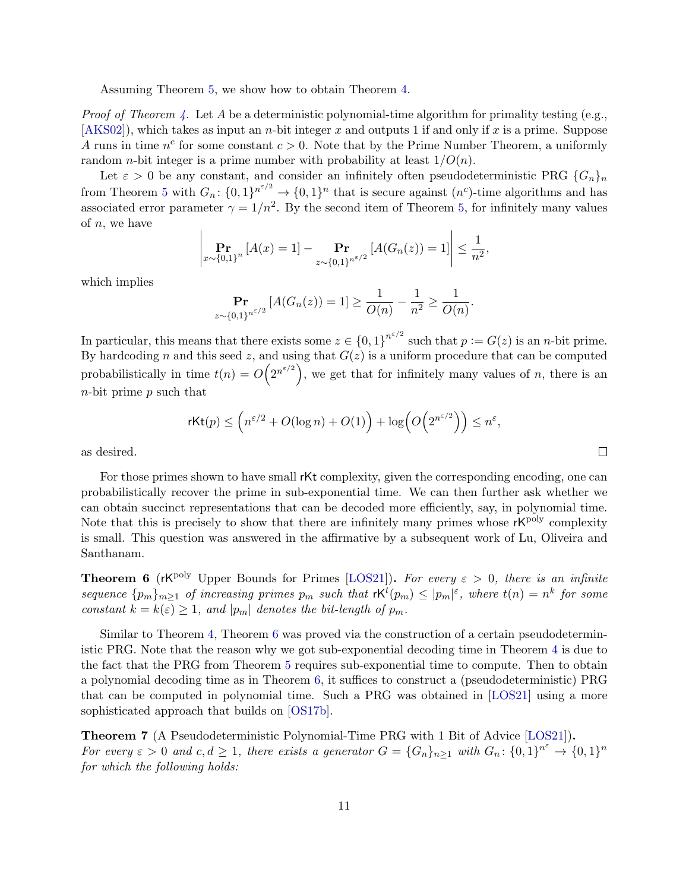Assuming Theorem [5,](#page-9-3) we show how to obtain Theorem [4.](#page-9-1)

*Proof of Theorem [4.](#page-9-1)* Let A be a deterministic polynomial-time algorithm for primality testing (e.g.,  $[AKS02]$ , which takes as input an *n*-bit integer x and outputs 1 if and only if x is a prime. Suppose A runs in time  $n^c$  for some constant  $c > 0$ . Note that by the Prime Number Theorem, a uniformly random *n*-bit integer is a prime number with probability at least  $1/O(n)$ .

Let  $\varepsilon > 0$  be any constant, and consider an infinitely often pseudodeterministic PRG  $\{G_n\}_n$ from Theorem [5](#page-9-3) with  $G_n: \{0,1\}^{n^{\varepsilon/2}} \to \{0,1\}^n$  that is secure against  $(n^c)$ -time algorithms and has associated error parameter  $\gamma = 1/n^2$ . By the second item of Theorem [5,](#page-9-3) for infinitely many values of  $n$ , we have

$$
\left|\Pr_{x \sim \{0,1\}^n} \left[ A(x) = 1 \right] - \Pr_{z \sim \{0,1\}^{n^{\varepsilon/2}}} \left[ A(G_n(z)) = 1 \right] \right| \le \frac{1}{n^2},
$$

which implies

$$
\Pr_{z \sim \{0,1\}^{n^{\varepsilon/2}}} [A(G_n(z)) = 1] \ge \frac{1}{O(n)} - \frac{1}{n^2} \ge \frac{1}{O(n)}.
$$

In particular, this means that there exists some  $z \in \{0,1\}^{n^{\varepsilon/2}}$  such that  $p := G(z)$  is an *n*-bit prime. By hardcoding n and this seed z, and using that  $G(z)$  is a uniform procedure that can be computed probabilistically in time  $t(n) = O(2^{n^{\varepsilon/2}})$ , we get that for infinitely many values of n, there is an  $n$ -bit prime  $p$  such that

$$
\mathrm{rKt}(p) \le \left( n^{\varepsilon/2} + O(\log n) + O(1) \right) + \log \left( O\!\left( 2^{n^{\varepsilon/2}} \right) \right) \le n^{\varepsilon},
$$

 $\Box$ 

as desired.

For those primes shown to have small rKt complexity, given the corresponding encoding, one can probabilistically recover the prime in sub-exponential time. We can then further ask whether we can obtain succinct representations that can be decoded more efficiently, say, in polynomial time. Note that this is precisely to show that there are infinitely many primes whose  $rK^{poly}$  complexity is small. This question was answered in the affirmative by a subsequent work of Lu, Oliveira and Santhanam.

<span id="page-10-0"></span>**Theorem 6** (rK<sup>poly</sup> Upper Bounds for Primes [\[LOS21\]](#page-32-10)). For every  $\varepsilon > 0$ , there is an infinite sequence  $\{p_m\}_{m\geq 1}$  of increasing primes  $p_m$  such that  $\mathsf{rk}^t(p_m) \leq |p_m|^{\varepsilon}$ , where  $t(n) = n^k$  for some constant  $k = k(\varepsilon) \geq 1$ , and  $|p_m|$  denotes the bit-length of  $p_m$ .

Similar to Theorem [4,](#page-9-1) Theorem [6](#page-10-0) was proved via the construction of a certain pseudodeterministic PRG. Note that the reason why we got sub-exponential decoding time in Theorem [4](#page-9-1) is due to the fact that the PRG from Theorem [5](#page-9-3) requires sub-exponential time to compute. Then to obtain a polynomial decoding time as in Theorem [6,](#page-10-0) it suffices to construct a (pseudodeterministic) PRG that can be computed in polynomial time. Such a PRG was obtained in [\[LOS21\]](#page-32-10) using a more sophisticated approach that builds on [\[OS17b\]](#page--1-17).

<span id="page-10-1"></span>Theorem 7 (A Pseudodeterministic Polynomial-Time PRG with 1 Bit of Advice [\[LOS21\]](#page-32-10)). For every  $\varepsilon > 0$  and  $c, d \geq 1$ , there exists a generator  $G = \{G_n\}_{n \geq 1}$  with  $G_n: \{0,1\}^n \to \{0,1\}^n$ for which the following holds: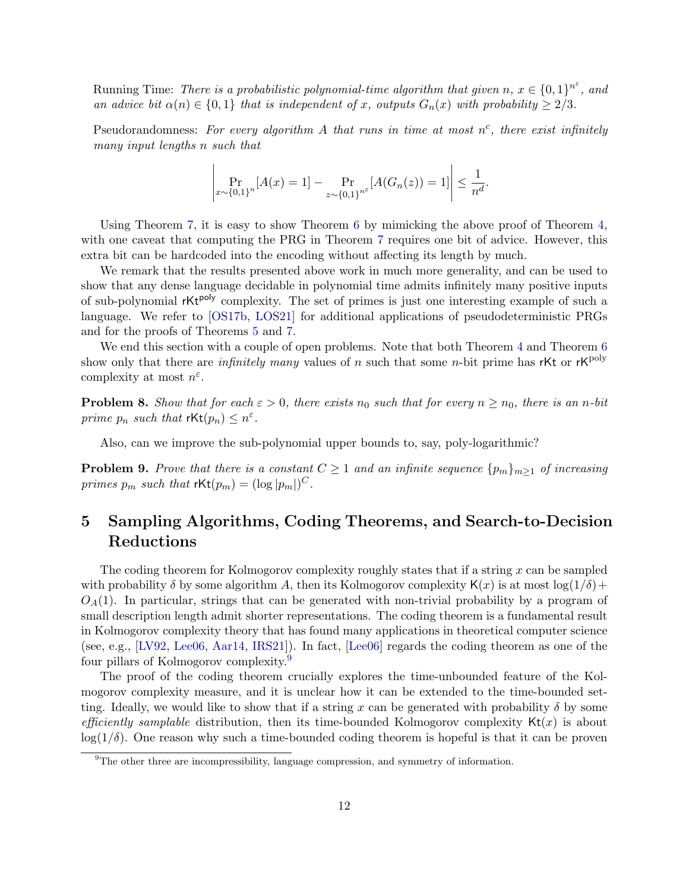Running Time: There is a probabilistic polynomial-time algorithm that given  $n, x \in \{0,1\}^{n^{\varepsilon}}$ , and an advice bit  $\alpha(n) \in \{0,1\}$  that is independent of x, outputs  $G_n(x)$  with probability  $\geq 2/3$ .

Pseudorandomness: For every algorithm A that runs in time at most  $n^c$ , there exist infinitely many input lengths n such that

$$
\left|\Pr_{x \sim \{0,1\}^n} [A(x) = 1] - \Pr_{z \sim \{0,1\}^n} [A(G_n(z)) = 1] \right| \le \frac{1}{n^d}.
$$

Using Theorem [7,](#page-10-1) it is easy to show Theorem [6](#page-10-0) by mimicking the above proof of Theorem [4,](#page-9-1) with one caveat that computing the PRG in Theorem [7](#page-10-1) requires one bit of advice. However, this extra bit can be hardcoded into the encoding without affecting its length by much.

We remark that the results presented above work in much more generality, and can be used to show that any dense language decidable in polynomial time admits infinitely many positive inputs of sub-polynomial rKt<sup>poly</sup> complexity. The set of primes is just one interesting example of such a language. We refer to [\[OS17b,](#page--1-17) [LOS21\]](#page-32-10) for additional applications of pseudodeterministic PRGs and for the proofs of Theorems [5](#page-9-3) and [7.](#page-10-1)

We end this section with a couple of open problems. Note that both Theorem [4](#page-9-1) and Theorem [6](#page-10-0) show only that there are *infinitely many* values of n such that some n-bit prime has rKt or rK<sup>poly</sup> complexity at most  $n^{\varepsilon}$ .

**Problem 8.** Show that for each  $\varepsilon > 0$ , there exists  $n_0$  such that for every  $n \geq n_0$ , there is an n-bit prime  $p_n$  such that  $\mathsf{rKt}(p_n) \leq n^{\varepsilon}$ .

Also, can we improve the sub-polynomial upper bounds to, say, poly-logarithmic?

<span id="page-11-2"></span>**Problem 9.** Prove that there is a constant  $C \geq 1$  and an infinite sequence  $\{p_m\}_{m\geq 1}$  of increasing primes  $p_m$  such that  $\mathsf{rKt}(p_m) = (\log |p_m|)^C$ .

# <span id="page-11-0"></span>5 Sampling Algorithms, Coding Theorems, and Search-to-Decision Reductions

The coding theorem for Kolmogorov complexity roughly states that if a string  $x$  can be sampled with probability  $\delta$  by some algorithm A, then its Kolmogorov complexity  $\mathsf{K}(x)$  is at most  $\log(1/\delta)$ +  $O<sub>A</sub>(1)$ . In particular, strings that can be generated with non-trivial probability by a program of small description length admit shorter representations. The coding theorem is a fundamental result in Kolmogorov complexity theory that has found many applications in theoretical computer science (see, e.g., [\[LV92,](#page-32-12) [Lee06,](#page-32-7) [Aar14,](#page-29-3) [IRS21\]](#page-31-3)). In fact, [\[Lee06\]](#page-32-7) regards the coding theorem as one of the four pillars of Kolmogorov complexity.[9](#page-11-1)

The proof of the coding theorem crucially explores the time-unbounded feature of the Kolmogorov complexity measure, and it is unclear how it can be extended to the time-bounded setting. Ideally, we would like to show that if a string x can be generated with probability  $\delta$  by some efficiently samplable distribution, then its time-bounded Kolmogorov complexity  $Kt(x)$  is about  $\log(1/\delta)$ . One reason why such a time-bounded coding theorem is hopeful is that it can be proven

<span id="page-11-1"></span><sup>&</sup>lt;sup>9</sup>The other three are incompressibility, language compression, and symmetry of information.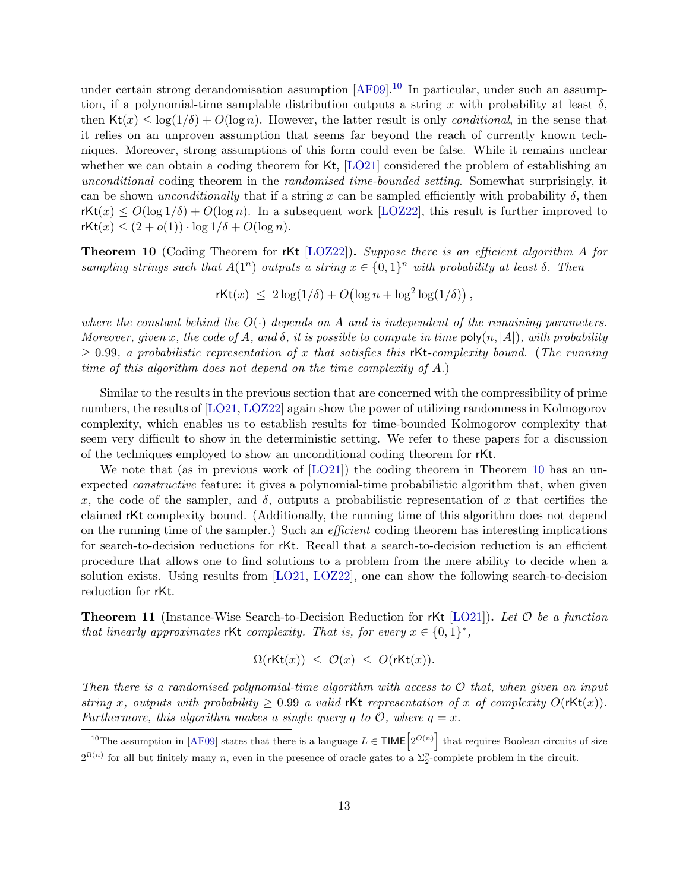under certain strong derandomisation assumption [\[AF09\]](#page-29-2).<sup>[10](#page-12-0)</sup> In particular, under such an assumption, if a polynomial-time samplable distribution outputs a string x with probability at least  $\delta$ , then  $\text{Kt}(x) \leq \log(1/\delta) + O(\log n)$ . However, the latter result is only *conditional*, in the sense that it relies on an unproven assumption that seems far beyond the reach of currently known techniques. Moreover, strong assumptions of this form could even be false. While it remains unclear whether we can obtain a coding theorem for Kt, [\[LO21\]](#page-32-9) considered the problem of establishing an unconditional coding theorem in the randomised time-bounded setting. Somewhat surprisingly, it can be shown unconditionally that if a string x can be sampled efficiently with probability  $\delta$ , then  $rKt(x) \leq O(\log 1/\delta) + O(\log n)$ . In a subsequent work [\[LOZ22\]](#page-32-11), this result is further improved to  $rKt(x) \leq (2+o(1)) \cdot \log 1/\delta + O(\log n).$ 

<span id="page-12-1"></span>**Theorem 10** (Coding Theorem for rKt [\[LOZ22\]](#page-32-11)). Suppose there is an efficient algorithm A for sampling strings such that  $A(1^n)$  outputs a string  $x \in \{0,1\}^n$  with probability at least  $\delta$ . Then

 $\mathsf{rkt}(x) \leq 2\log(1/\delta) + O\left(\log n + \log^2\log(1/\delta)\right),$ 

where the constant behind the  $O(\cdot)$  depends on A and is independent of the remaining parameters. Moreover, given x, the code of A, and  $\delta$ , it is possible to compute in time  $\mathsf{poly}(n, |A|)$ , with probability  $\geq$  0.99, a probabilistic representation of x that satisfies this rKt-complexity bound. (The running time of this algorithm does not depend on the time complexity of A.)

Similar to the results in the previous section that are concerned with the compressibility of prime numbers, the results of [\[LO21,](#page-32-9) [LOZ22\]](#page-32-11) again show the power of utilizing randomness in Kolmogorov complexity, which enables us to establish results for time-bounded Kolmogorov complexity that seem very difficult to show in the deterministic setting. We refer to these papers for a discussion of the techniques employed to show an unconditional coding theorem for rKt.

We note that (as in previous work of [\[LO21\]](#page-32-9)) the coding theorem in Theorem [10](#page-12-1) has an unexpected constructive feature: it gives a polynomial-time probabilistic algorithm that, when given x, the code of the sampler, and  $\delta$ , outputs a probabilistic representation of x that certifies the claimed rKt complexity bound. (Additionally, the running time of this algorithm does not depend on the running time of the sampler.) Such an efficient coding theorem has interesting implications for search-to-decision reductions for rKt. Recall that a search-to-decision reduction is an efficient procedure that allows one to find solutions to a problem from the mere ability to decide when a solution exists. Using results from [\[LO21,](#page-32-9) [LOZ22\]](#page-32-11), one can show the following search-to-decision reduction for rKt.

<span id="page-12-2"></span>**Theorem 11** (Instance-Wise Search-to-Decision Reduction for rKt [\[LO21\]](#page-32-9)). Let  $\mathcal O$  be a function that linearly approximates rKt complexity. That is, for every  $x \in \{0,1\}^*$ ,

$$
\Omega(\mathrm{rKt}(x)) \leq \mathcal{O}(x) \leq O(\mathrm{rKt}(x)).
$$

Then there is a randomised polynomial-time algorithm with access to  $\mathcal O$  that, when given an input string x, outputs with probability  $\geq 0.99$  a valid rKt representation of x of complexity  $O(\text{rKt}(x))$ . Furthermore, this algorithm makes a single query q to  $\mathcal{O}$ , where  $q = x$ .

<span id="page-12-0"></span><sup>&</sup>lt;sup>10</sup>The assumption in [\[AF09\]](#page-29-2) states that there is a language  $L \in \text{TIME}\left[2^{O(n)}\right]$  that requires Boolean circuits of size  $2^{\Omega(n)}$  for all but finitely many n, even in the presence of oracle gates to a  $\Sigma_2^p$ -complete problem in the circuit.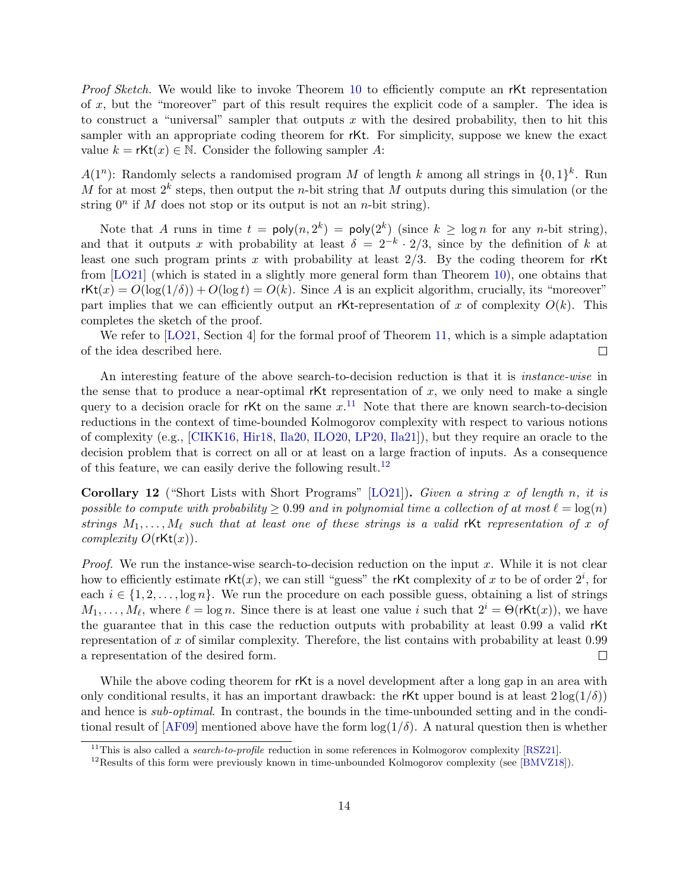*Proof Sketch.* We would like to invoke Theorem [10](#page-12-1) to efficiently compute an rKt representation of x, but the "moreover" part of this result requires the explicit code of a sampler. The idea is to construct a "universal" sampler that outputs x with the desired probability, then to hit this sampler with an appropriate coding theorem for rKt. For simplicity, suppose we knew the exact value  $k = rKt(x) \in \mathbb{N}$ . Consider the following sampler A:

 $A(1^n)$ : Randomly selects a randomised program M of length k among all strings in  $\{0,1\}^k$ . Run M for at most  $2^k$  steps, then output the *n*-bit string that M outputs during this simulation (or the string  $0^n$  if M does not stop or its output is not an n-bit string).

Note that A runs in time  $t = \text{poly}(n, 2^k) = \text{poly}(2^k)$  (since  $k \geq \log n$  for any *n*-bit string), and that it outputs x with probability at least  $\delta = 2^{-k} \cdot 2/3$ , since by the definition of k at least one such program prints x with probability at least  $2/3$ . By the coding theorem for rKt from [\[LO21\]](#page-32-9) (which is stated in a slightly more general form than Theorem [10\)](#page-12-1), one obtains that  $rKt(x) = O(\log(1/\delta)) + O(\log t) = O(k)$ . Since A is an explicit algorithm, crucially, its "moreover" part implies that we can efficiently output an rKt-representation of x of complexity  $O(k)$ . This completes the sketch of the proof.

We refer to [\[LO21,](#page-32-9) Section 4] for the formal proof of Theorem [11,](#page-12-2) which is a simple adaptation of the idea described here.  $\Box$ 

An interesting feature of the above search-to-decision reduction is that it is instance-wise in the sense that to produce a near-optimal  $rKt$  representation of x, we only need to make a single query to a decision oracle for rKt on the same  $x$ .<sup>[11](#page-13-0)</sup> Note that there are known search-to-decision reductions in the context of time-bounded Kolmogorov complexity with respect to various notions of complexity (e.g., [\[CIKK16,](#page-30-0) [Hir18,](#page-31-4) [Ila20,](#page-31-5) [ILO20,](#page-31-6) [LP20,](#page-32-3) [Ila21\]](#page-31-7)), but they require an oracle to the decision problem that is correct on all or at least on a large fraction of inputs. As a consequence of this feature, we can easily derive the following result.<sup>[12](#page-13-1)</sup>

<span id="page-13-2"></span>**Corollary 12** ("Short Lists with Short Programs" [\[LO21\]](#page-32-9)). Given a string x of length n, it is possible to compute with probability  $\geq 0.99$  and in polynomial time a collection of at most  $\ell = \log(n)$ strings  $M_1, \ldots, M_\ell$  such that at least one of these strings is a valid rKt representation of x of complexity  $O(\text{rkt}(x))$ .

*Proof.* We run the instance-wise search-to-decision reduction on the input x. While it is not clear how to efficiently estimate rKt(x), we can still "guess" the rKt complexity of x to be of order  $2^i$ , for each  $i \in \{1, 2, \ldots, \log n\}$ . We run the procedure on each possible guess, obtaining a list of strings  $M_1, \ldots, M_\ell$ , where  $\ell = \log n$ . Since there is at least one value i such that  $2^i = \Theta(\text{rkt}(x))$ , we have the guarantee that in this case the reduction outputs with probability at least 0.99 a valid rKt representation of x of similar complexity. Therefore, the list contains with probability at least 0.99 a representation of the desired form.  $\Box$ 

While the above coding theorem for rKt is a novel development after a long gap in an area with only conditional results, it has an important drawback: the rKt upper bound is at least  $2\log(1/\delta)$ and hence is sub-optimal. In contrast, the bounds in the time-unbounded setting and in the conditional result of  $[AF09]$  mentioned above have the form  $\log(1/\delta)$ . A natural question then is whether

<span id="page-13-0"></span><sup>&</sup>lt;sup>11</sup>This is also called a *search-to-profile* reduction in some references in Kolmogorov complexity [\[RSZ21\]](#page--1-18).

<span id="page-13-1"></span> $12$ Results of this form were previously known in time-unbounded Kolmogorov complexity (see [\[BMVZ18\]](#page-30-9)).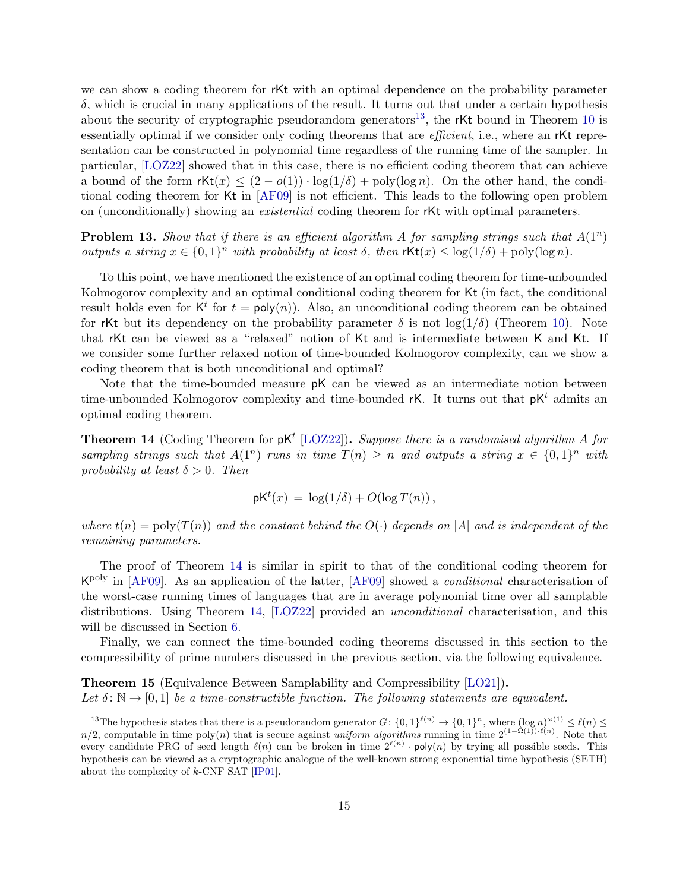we can show a coding theorem for rKt with an optimal dependence on the probability parameter  $\delta$ , which is crucial in many applications of the result. It turns out that under a certain hypothesis about the security of cryptographic pseudorandom generators<sup>[13](#page-14-0)</sup>, the rKt bound in Theorem [10](#page-12-1) is essentially optimal if we consider only coding theorems that are *efficient*, i.e., where an rKt representation can be constructed in polynomial time regardless of the running time of the sampler. In particular, [\[LOZ22\]](#page-32-11) showed that in this case, there is no efficient coding theorem that can achieve a bound of the form  $\mathsf{rkt}(x) \leq (2 - o(1)) \cdot \log(1/\delta) + \text{poly}(\log n)$ . On the other hand, the conditional coding theorem for Kt in [\[AF09\]](#page-29-2) is not efficient. This leads to the following open problem on (unconditionally) showing an existential coding theorem for rKt with optimal parameters.

**Problem 13.** Show that if there is an efficient algorithm A for sampling strings such that  $A(1^n)$ outputs a string  $x \in \{0,1\}^n$  with probability at least  $\delta$ , then  $\mathsf{rKt}(x) \leq \log(1/\delta) + \text{poly}(\log n)$ .

To this point, we have mentioned the existence of an optimal coding theorem for time-unbounded Kolmogorov complexity and an optimal conditional coding theorem for Kt (in fact, the conditional result holds even for  $K^t$  for  $t = \text{poly}(n)$ . Also, an unconditional coding theorem can be obtained for rKt but its dependency on the probability parameter  $\delta$  is not  $\log(1/\delta)$  (Theorem [10\)](#page-12-1). Note that rKt can be viewed as a "relaxed" notion of Kt and is intermediate between K and Kt. If we consider some further relaxed notion of time-bounded Kolmogorov complexity, can we show a coding theorem that is both unconditional and optimal?

Note that the time-bounded measure pK can be viewed as an intermediate notion between time-unbounded Kolmogorov complexity and time-bounded rK. It turns out that  $pK<sup>t</sup>$  admits an optimal coding theorem.

<span id="page-14-1"></span>**Theorem 14** (Coding Theorem for  $pK^t$  [\[LOZ22\]](#page-32-11)). Suppose there is a randomised algorithm A for sampling strings such that  $A(1^n)$  runs in time  $T(n) \geq n$  and outputs a string  $x \in \{0,1\}^n$  with probability at least  $\delta > 0$ . Then

$$
pK^{t}(x) = \log(1/\delta) + O(\log T(n)),
$$

where  $t(n) = \text{poly}(T(n))$  and the constant behind the  $O(\cdot)$  depends on |A| and is independent of the remaining parameters.

The proof of Theorem [14](#page-14-1) is similar in spirit to that of the conditional coding theorem for K<sup>poly</sup> in [\[AF09\]](#page-29-2). As an application of the latter, [AF09] showed a *conditional* characterisation of the worst-case running times of languages that are in average polynomial time over all samplable distributions. Using Theorem [14,](#page-14-1) [\[LOZ22\]](#page-32-11) provided an *unconditional* characterisation, and this will be discussed in Section [6.](#page-15-0)

Finally, we can connect the time-bounded coding theorems discussed in this section to the compressibility of prime numbers discussed in the previous section, via the following equivalence.

<span id="page-14-2"></span>Theorem 15 (Equivalence Between Samplability and Compressibility [\[LO21\]](#page-32-9)). Let  $\delta: \mathbb{N} \to [0, 1]$  be a time-constructible function. The following statements are equivalent.

<span id="page-14-0"></span><sup>&</sup>lt;sup>13</sup>The hypothesis states that there is a pseudorandom generator  $G: \{0,1\}^{\ell(n)} \to \{0,1\}^n$ , where  $(\log n)^{\omega(1)} \leq \ell(n) \leq$  $n/2$ , computable in time poly $(n)$  that is secure against uniform algorithms running in time  $2^{(1-\Omega(1))\cdot \ell(n)}$ . Note that every candidate PRG of seed length  $\ell(n)$  can be broken in time  $2^{\ell(n)} \cdot \text{poly}(n)$  by trying all possible seeds. This hypothesis can be viewed as a cryptographic analogue of the well-known strong exponential time hypothesis (SETH) about the complexity of k-CNF SAT [\[IP01\]](#page-31-8).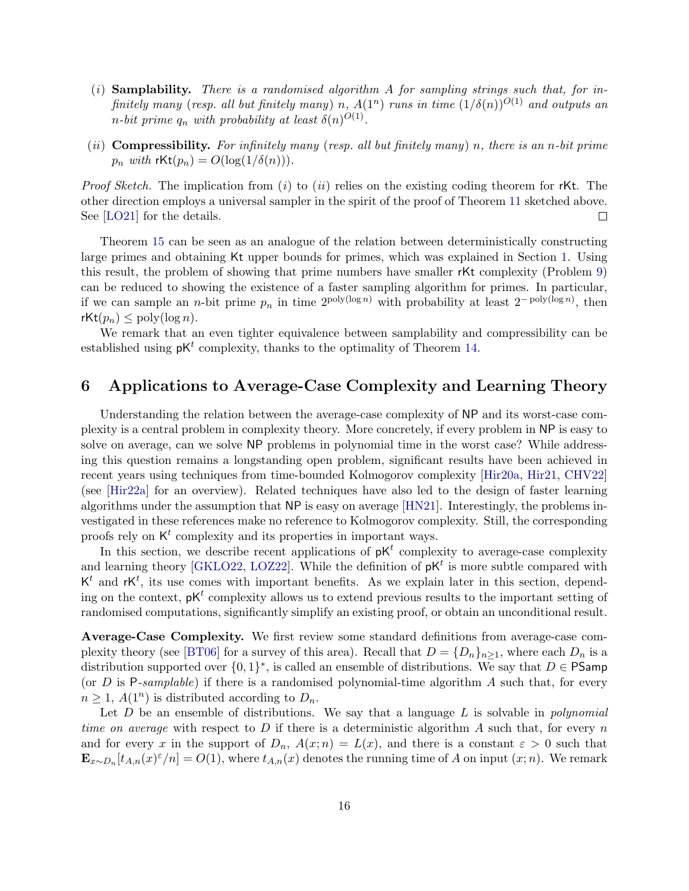- $(i)$  Samplability. There is a randomised algorithm A for sampling strings such that, for infinitely many (resp. all but finitely many) n,  $A(1^n)$  runs in time  $(1/\delta(n))^{O(1)}$  and outputs an *n*-bit prime  $q_n$  with probability at least  $\delta(n)^{O(1)}$ .
- (ii) **Compressibility.** For infinitely many (resp. all but finitely many) n, there is an n-bit prime  $p_n$  with  $\mathsf{rKt}(p_n) = O(\log(1/\delta(n))).$

*Proof Sketch.* The implication from  $(i)$  to  $(ii)$  relies on the existing coding theorem for rKt. The other direction employs a universal sampler in the spirit of the proof of Theorem [11](#page-12-2) sketched above. See [\[LO21\]](#page-32-9) for the details.  $\Box$ 

Theorem [15](#page-14-2) can be seen as an analogue of the relation between deterministically constructing large primes and obtaining Kt upper bounds for primes, which was explained in Section [1.](#page-2-0) Using this result, the problem of showing that prime numbers have smaller rKt complexity (Problem [9\)](#page-11-2) can be reduced to showing the existence of a faster sampling algorithm for primes. In particular, if we can sample an *n*-bit prime  $p_n$  in time  $2^{\text{poly}(\log n)}$  with probability at least  $2^{-\text{poly}(\log n)}$ , then  $rKt(p_n) \leq \text{poly}(\log n)$ .

We remark that an even tighter equivalence between samplability and compressibility can be established using  $pK^t$  complexity, thanks to the optimality of Theorem [14.](#page-14-1)

## <span id="page-15-0"></span>6 Applications to Average-Case Complexity and Learning Theory

Understanding the relation between the average-case complexity of NP and its worst-case complexity is a central problem in complexity theory. More concretely, if every problem in NP is easy to solve on average, can we solve NP problems in polynomial time in the worst case? While addressing this question remains a longstanding open problem, significant results have been achieved in recent years using techniques from time-bounded Kolmogorov complexity [\[Hir20a,](#page-31-9) [Hir21,](#page-31-1) [CHV22\]](#page-30-10) (see [\[Hir22a\]](#page-31-10) for an overview). Related techniques have also led to the design of faster learning algorithms under the assumption that NP is easy on average [\[HN21\]](#page-31-0). Interestingly, the problems investigated in these references make no reference to Kolmogorov complexity. Still, the corresponding proofs rely on  $K^t$  complexity and its properties in important ways.

In this section, we describe recent applications of  $pK<sup>t</sup>$  complexity to average-case complexity and learning theory [\[GKLO22,](#page-31-2) [LOZ22\]](#page-32-11). While the definition of  $pK<sup>t</sup>$  is more subtle compared with  $K<sup>t</sup>$  and  $rK<sup>t</sup>$ , its use comes with important benefits. As we explain later in this section, depending on the context,  $\not{p}K^t$  complexity allows us to extend previous results to the important setting of randomised computations, significantly simplify an existing proof, or obtain an unconditional result.

Average-Case Complexity. We first review some standard definitions from average-case com-plexity theory (see [\[BT06\]](#page-30-11) for a survey of this area). Recall that  $D = \{D_n\}_{n\geq 1}$ , where each  $D_n$  is a distribution supported over  $\{0,1\}^*$ , is called an ensemble of distributions. We say that  $D \in \mathsf{PSamp}$ (or  $D$  is P-samplable) if there is a randomised polynomial-time algorithm  $A$  such that, for every  $n \geq 1$ ,  $A(1^n)$  is distributed according to  $D_n$ .

Let  $D$  be an ensemble of distributions. We say that a language  $L$  is solvable in *polynomial* time on average with respect to D if there is a deterministic algorithm A such that, for every n and for every x in the support of  $D_n$ ,  $A(x; n) = L(x)$ , and there is a constant  $\varepsilon > 0$  such that  $\mathbf{E}_{x\sim D_n}[t_{A,n}(x)^{\epsilon}/n] = O(1)$ , where  $t_{A,n}(x)$  denotes the running time of A on input  $(x; n)$ . We remark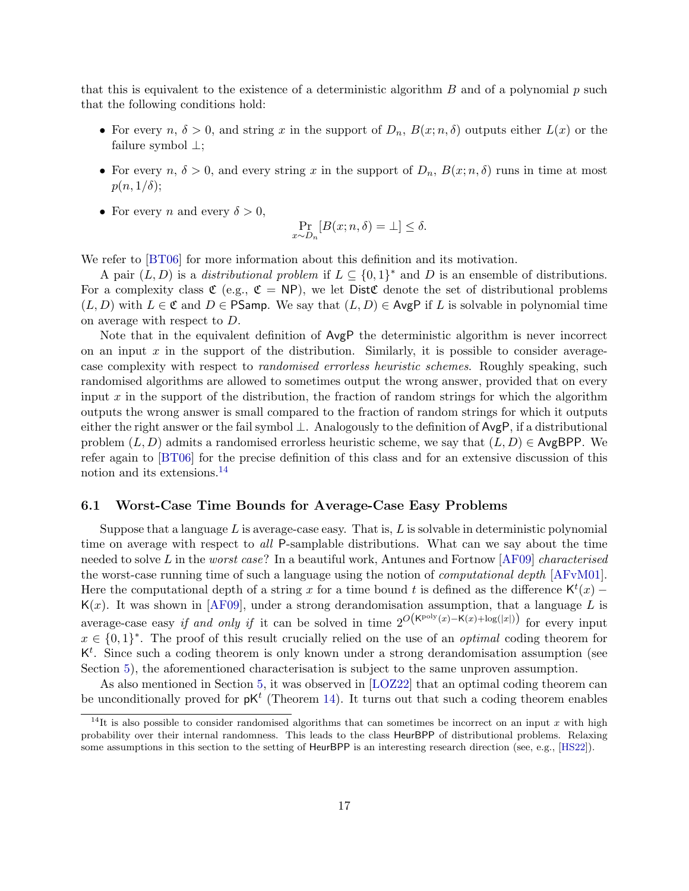that this is equivalent to the existence of a deterministic algorithm  $B$  and of a polynomial  $p$  such that the following conditions hold:

- For every  $n, \delta > 0$ , and string x in the support of  $D_n$ ,  $B(x; n, \delta)$  outputs either  $L(x)$  or the failure symbol ⊥;
- For every  $n, \delta > 0$ , and every string x in the support of  $D_n$ ,  $B(x; n, \delta)$  runs in time at most  $p(n, 1/\delta);$
- For every n and every  $\delta > 0$ ,

$$
\Pr_{x \sim D_n}[B(x; n, \delta) = \bot] \le \delta.
$$

We refer to  $[BT06]$  for more information about this definition and its motivation.

A pair  $(L, D)$  is a *distributional problem* if  $L \subseteq \{0, 1\}^*$  and D is an ensemble of distributions. For a complexity class  $\mathfrak{C}$  (e.g.,  $\mathfrak{C} = NP$ ), we let Dist $\mathfrak{C}$  denote the set of distributional problems  $(L, D)$  with  $L \in \mathfrak{C}$  and  $D \in \mathsf{PSamp}$ . We say that  $(L, D) \in \mathsf{AvgP}$  if L is solvable in polynomial time on average with respect to D.

Note that in the equivalent definition of AvgP the deterministic algorithm is never incorrect on an input  $x$  in the support of the distribution. Similarly, it is possible to consider averagecase complexity with respect to randomised errorless heuristic schemes. Roughly speaking, such randomised algorithms are allowed to sometimes output the wrong answer, provided that on every input x in the support of the distribution, the fraction of random strings for which the algorithm outputs the wrong answer is small compared to the fraction of random strings for which it outputs either the right answer or the fail symbol ⊥. Analogously to the definition of AvgP, if a distributional problem  $(L, D)$  admits a randomised errorless heuristic scheme, we say that  $(L, D) \in \mathsf{AvgBPP}$ . We refer again to [\[BT06\]](#page-30-11) for the precise definition of this class and for an extensive discussion of this notion and its extensions.<sup>[14](#page-16-1)</sup>

#### <span id="page-16-0"></span>6.1 Worst-Case Time Bounds for Average-Case Easy Problems

Suppose that a language  $L$  is average-case easy. That is,  $L$  is solvable in deterministic polynomial time on average with respect to *all* P-samplable distributions. What can we say about the time needed to solve L in the worst case? In a beautiful work, Antunes and Fortnow  $[AF09]$  characterised the worst-case running time of such a language using the notion of computational depth [\[AFvM01\]](#page-29-4). Here the computational depth of a string x for a time bound t is defined as the difference  $\mathsf{K}^{t}(x)$  –  $K(x)$ . It was shown in [\[AF09\]](#page-29-2), under a strong derandomisation assumption, that a language L is average-case easy if and only if it can be solved in time  $2^{O(K^{\text{poly}}(x) - K(x) + \log(|x|))}$  for every input  $x \in \{0,1\}^*$ . The proof of this result crucially relied on the use of an *optimal* coding theorem for  $K<sup>t</sup>$ . Since such a coding theorem is only known under a strong derandomisation assumption (see Section [5\)](#page-11-0), the aforementioned characterisation is subject to the same unproven assumption.

As also mentioned in Section [5,](#page-11-0) it was observed in [\[LOZ22\]](#page-32-11) that an optimal coding theorem can be unconditionally proved for  $pK^t$  (Theorem [14\)](#page-14-1). It turns out that such a coding theorem enables

<span id="page-16-1"></span><sup>&</sup>lt;sup>14</sup>It is also possible to consider randomised algorithms that can sometimes be incorrect on an input x with high probability over their internal randomness. This leads to the class HeurBPP of distributional problems. Relaxing some assumptions in this section to the setting of HeurBPP is an interesting research direction (see, e.g., [\[HS22\]](#page-31-11)).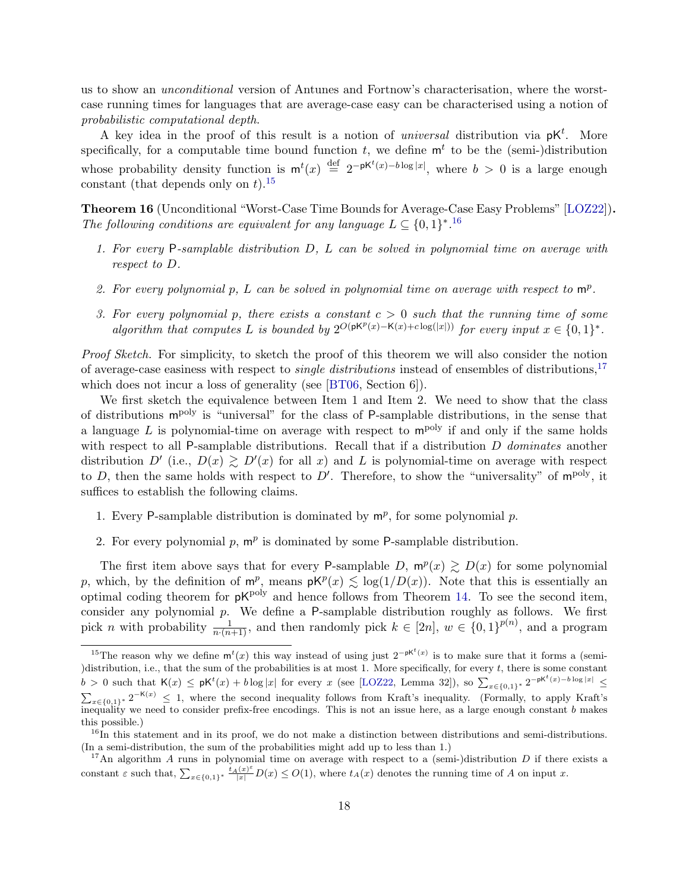us to show an unconditional version of Antunes and Fortnow's characterisation, where the worstcase running times for languages that are average-case easy can be characterised using a notion of probabilistic computational depth.

A key idea in the proof of this result is a notion of *universal* distribution via  $pK^t$ . More specifically, for a computable time bound function  $t$ , we define  $m<sup>t</sup>$  to be the (semi-)distribution whose probability density function is  $m^t(x) \stackrel{\text{def}}{=} 2^{-pK^t(x)-b \log |x|}$ , where  $b > 0$  is a large enough constant (that depends only on  $t$ ).<sup>[15](#page-17-0)</sup>

<span id="page-17-3"></span>Theorem 16 (Unconditional "Worst-Case Time Bounds for Average-Case Easy Problems" [\[LOZ22\]](#page-32-11)). The following conditions are equivalent for any language  $L \subseteq \{0,1\}^{*}.^{16}$  $L \subseteq \{0,1\}^{*}.^{16}$  $L \subseteq \{0,1\}^{*}.^{16}$ 

- 1. For every P-samplable distribution D, L can be solved in polynomial time on average with respect to D.
- 2. For every polynomial p, L can be solved in polynomial time on average with respect to  $m^p$ .
- 3. For every polynomial p, there exists a constant  $c > 0$  such that the running time of some algorithm that computes L is bounded by  $2^{O(pK^p(x)-K(x)+c\log(|x|))}$  for every input  $x \in \{0,1\}^*$ .

Proof Sketch. For simplicity, to sketch the proof of this theorem we will also consider the notion of average-case easiness with respect to *single distributions* instead of ensembles of distributions,<sup>[17](#page-17-2)</sup> which does not incur a loss of generality (see [\[BT06,](#page-30-11) Section 6]).

We first sketch the equivalence between Item 1 and Item 2. We need to show that the class of distributions mpoly is "universal" for the class of P-samplable distributions, in the sense that a language L is polynomial-time on average with respect to  $m^{poly}$  if and only if the same holds with respect to all P-samplable distributions. Recall that if a distribution  $D$  dominates another distribution D' (i.e.,  $D(x) \ge D'(x)$  for all x) and L is polynomial-time on average with respect to D, then the same holds with respect to D'. Therefore, to show the "universality" of  $m^{poly}$ , it suffices to establish the following claims.

- 1. Every P-samplable distribution is dominated by  $m^p$ , for some polynomial p.
- 2. For every polynomial  $p, m^p$  is dominated by some P-samplable distribution.

The first item above says that for every P-samplable D,  $m^p(x) \ge D(x)$  for some polynomial p, which, by the definition of  $m^p$ , means  $pK^p(x) \leq log(1/D(x))$ . Note that this is essentially an optimal coding theorem for  $pK^{poly}$  and hence follows from Theorem [14.](#page-14-1) To see the second item, consider any polynomial  $p$ . We define a  $P$ -samplable distribution roughly as follows. We first pick n with probability  $\frac{1}{n \cdot (n+1)}$ , and then randomly pick  $k \in [2n]$ ,  $w \in \{0,1\}^{p(n)}$ , and a program

<span id="page-17-0"></span><sup>&</sup>lt;sup>15</sup>The reason why we define  $m^{t}(x)$  this way instead of using just  $2^{-pK^{t}(x)}$  is to make sure that it forms a (semi-)distribution, i.e., that the sum of the probabilities is at most 1. More specifically, for every  $t$ , there is some constant  $b > 0$  such that  $\mathsf{K}(x) \leq \mathsf{p}\mathsf{K}^t(x) + b\log|x|$  for every x (see [\[LOZ22,](#page-32-11) Lemma 32]), so  $\sum_{x \in \{0,1\}^*} 2^{-\mathsf{p}\mathsf{K}^t(x) - b\log|x|}$  $\sum_{x\in\{0,1\}^*} 2^{-K(x)} \leq 1$ , where the second inequality follows from Kraft's inequality. (Formally, to apply Kraft's inequality we need to consider prefix-free encodings. This is not an issue here, as a large enough constant  $b$  makes this possible.)

<span id="page-17-1"></span> $16$ In this statement and in its proof, we do not make a distinction between distributions and semi-distributions. (In a semi-distribution, the sum of the probabilities might add up to less than 1.)

<span id="page-17-2"></span><sup>&</sup>lt;sup>17</sup>An algorithm A runs in polynomial time on average with respect to a (semi-)distribution D if there exists a constant  $\varepsilon$  such that,  $\sum_{x \in \{0,1\}^*} \frac{t_A(x)^{\varepsilon}}{|x|} D(x) \le O(1)$ , where  $t_A(x)$  denotes the running time of A on input x.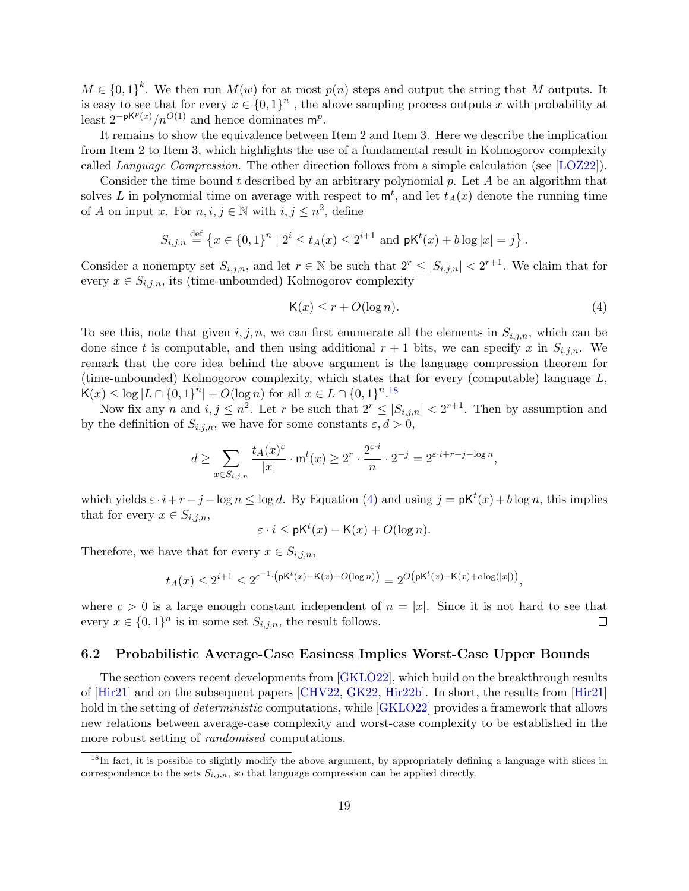$M \in \{0,1\}^k$ . We then run  $M(w)$  for at most  $p(n)$  steps and output the string that M outputs. It is easy to see that for every  $x \in \{0,1\}^n$ , the above sampling process outputs x with probability at least  $2^{-pK^p(x)}/n^{O(1)}$  and hence dominates m<sup>p</sup>.

It remains to show the equivalence between Item 2 and Item 3. Here we describe the implication from Item 2 to Item 3, which highlights the use of a fundamental result in Kolmogorov complexity called Language Compression. The other direction follows from a simple calculation (see [\[LOZ22\]](#page-32-11)).

Consider the time bound t described by an arbitrary polynomial p. Let A be an algorithm that solves L in polynomial time on average with respect to  $\mathsf{m}^t$ , and let  $t_A(x)$  denote the running time of A on input x. For  $n, i, j \in \mathbb{N}$  with  $i, j \leq n^2$ , define

$$
S_{i,j,n} \stackrel{\text{def}}{=} \left\{ x \in \{0,1\}^n \mid 2^i \le t_A(x) \le 2^{i+1} \text{ and } \mathsf{pK}^t(x) + b \log|x| = j \right\}.
$$

Consider a nonempty set  $S_{i,j,n}$ , and let  $r \in \mathbb{N}$  be such that  $2^r \leq |S_{i,j,n}| < 2^{r+1}$ . We claim that for every  $x \in S_{i,j,n}$ , its (time-unbounded) Kolmogorov complexity

<span id="page-18-2"></span>
$$
\mathsf{K}(x) \le r + O(\log n). \tag{4}
$$

To see this, note that given  $i, j, n$ , we can first enumerate all the elements in  $S_{i,j,n}$ , which can be done since t is computable, and then using additional  $r + 1$  bits, we can specify x in  $S_{i,j,n}$ . We remark that the core idea behind the above argument is the language compression theorem for (time-unbounded) Kolmogorov complexity, which states that for every (computable) language L,  $K(x) \leq \log |L \cap \{0,1\}^n| + O(\log n)$  for all  $x \in L \cap \{0,1\}^{n}$ .<sup>[18](#page-18-1)</sup>

Now fix any n and  $i, j \leq n^2$ . Let r be such that  $2^r \leq |S_{i,j,n}| < 2^{r+1}$ . Then by assumption and by the definition of  $S_{i,j,n}$ , we have for some constants  $\varepsilon, d > 0$ ,

$$
d \geq \sum_{x \in S_{i,j,n}} \frac{t_A(x)^{\varepsilon}}{|x|} \cdot \mathsf{m}^t(x) \geq 2^r \cdot \frac{2^{\varepsilon \cdot i}}{n} \cdot 2^{-j} = 2^{\varepsilon \cdot i + r - j - \log n},
$$

which yields  $\varepsilon \cdot i + r - j - \log n \leq \log d$ . By Equation [\(4\)](#page-18-2) and using  $j = \mathsf{pK}^t(x) + b \log n$ , this implies that for every  $x \in S_{i,j,n}$ ,

$$
\varepsilon \cdot i \le \mathsf{pK}^t(x) - \mathsf{K}(x) + O(\log n).
$$

Therefore, we have that for every  $x \in S_{i,j,n}$ ,

$$
t_A(x)\leq 2^{i+1}\leq 2^{\varepsilon^{-1}\cdot\big(\text{pK}^t(x)-\text{K}(x)+O(\log n)\big)}=2^O\big(\text{pK}^t(x)-\text{K}(x)+c\log(|x|)\big),
$$

where  $c > 0$  is a large enough constant independent of  $n = |x|$ . Since it is not hard to see that every  $x \in \{0,1\}^n$  is in some set  $S_{i,j,n}$ , the result follows.  $\Box$ 

#### <span id="page-18-0"></span>6.2 Probabilistic Average-Case Easiness Implies Worst-Case Upper Bounds

The section covers recent developments from [\[GKLO22\]](#page-31-2), which build on the breakthrough results of [\[Hir21\]](#page-31-1) and on the subsequent papers [\[CHV22,](#page-30-10) [GK22,](#page-31-12) [Hir22b\]](#page-31-13). In short, the results from [\[Hir21\]](#page-31-1) hold in the setting of *deterministic* computations, while [\[GKLO22\]](#page-31-2) provides a framework that allows new relations between average-case complexity and worst-case complexity to be established in the more robust setting of randomised computations.

<span id="page-18-1"></span><sup>&</sup>lt;sup>18</sup>In fact, it is possible to slightly modify the above argument, by appropriately defining a language with slices in correspondence to the sets  $S_{i,j,n}$ , so that language compression can be applied directly.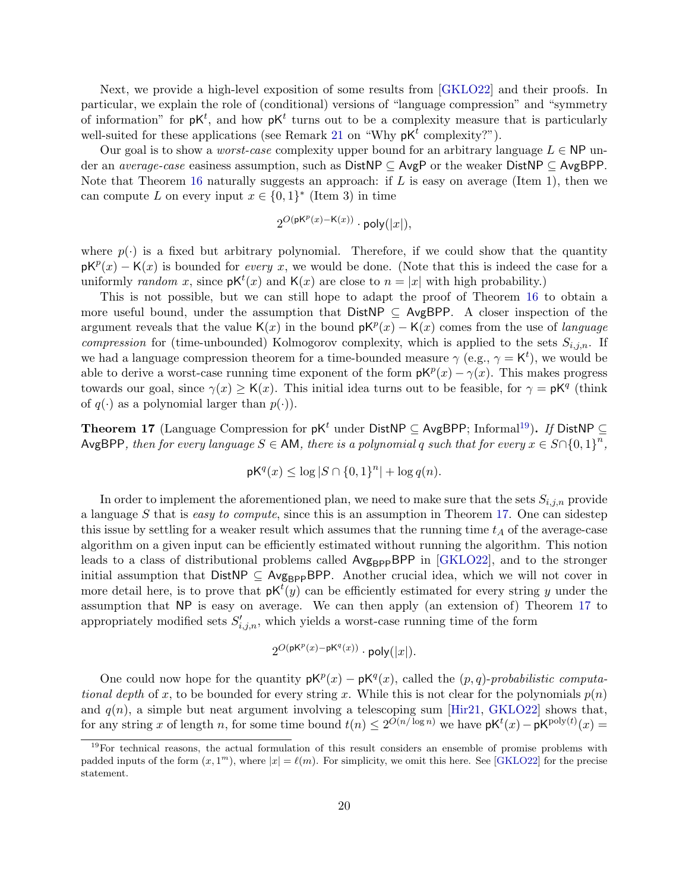Next, we provide a high-level exposition of some results from [\[GKLO22\]](#page-31-2) and their proofs. In particular, we explain the role of (conditional) versions of "language compression" and "symmetry of information" for  $pK^t$ , and how  $pK^t$  turns out to be a complexity measure that is particularly well-suited for these applications (see Remark [21](#page-21-0) on "Why  $pK<sup>t</sup>$  complexity?").

Our goal is to show a *worst-case* complexity upper bound for an arbitrary language  $L \in \mathsf{NP}$  under an *average-case* easiness assumption, such as  $DistNP \subseteq AvgP$  or the weaker  $DistNP \subseteq AvgBPP$ . Note that Theorem [16](#page-17-3) naturally suggests an approach: if L is easy on average (Item 1), then we can compute L on every input  $x \in \{0,1\}^*$  (Item 3) in time

$$
2^{O(\mathsf{pK}^p(x) - \mathsf{K}(x))} \cdot \mathsf{poly}(|x|),
$$

where  $p(\cdot)$  is a fixed but arbitrary polynomial. Therefore, if we could show that the quantity  $pK^p(x) - K(x)$  is bounded for *every x*, we would be done. (Note that this is indeed the case for a uniformly random x, since  $pK^t(x)$  and  $K(x)$  are close to  $n = |x|$  with high probability.)

This is not possible, but we can still hope to adapt the proof of Theorem [16](#page-17-3) to obtain a more useful bound, under the assumption that  $DistNP \subseteq AvgBPP$ . A closer inspection of the argument reveals that the value K(x) in the bound  $pK^p(x) - K(x)$  comes from the use of language *compression* for (time-unbounded) Kolmogorov complexity, which is applied to the sets  $S_{i,j,n}$ . If we had a language compression theorem for a time-bounded measure  $\gamma$  (e.g.,  $\gamma = K^t$ ), we would be able to derive a worst-case running time exponent of the form  $pK^p(x) - \gamma(x)$ . This makes progress towards our goal, since  $\gamma(x) \geq K(x)$ . This initial idea turns out to be feasible, for  $\gamma = pK^q$  (think of  $q(\cdot)$  as a polynomial larger than  $p(\cdot)$ ).

<span id="page-19-1"></span>**Theorem 17** (Language Compression for  $pK<sup>t</sup>$  under DistNP ⊆ AvgBPP; Informal<sup>[19](#page-19-0)</sup>). If DistNP ⊆ AvgBPP, then for every language  $S \in AM$ , there is a polynomial q such that for every  $x \in S \cap \{0,1\}^n$ ,

$$
\mathsf{p}\mathsf{K}^q(x) \le \log |S \cap \{0,1\}^n| + \log q(n).
$$

In order to implement the aforementioned plan, we need to make sure that the sets  $S_{i,j,n}$  provide a language S that is easy to compute, since this is an assumption in Theorem [17.](#page-19-1) One can sidestep this issue by settling for a weaker result which assumes that the running time  $t_A$  of the average-case algorithm on a given input can be efficiently estimated without running the algorithm. This notion leads to a class of distributional problems called Avg<sub>BPP</sub>BPP in [\[GKLO22\]](#page-31-2), and to the stronger initial assumption that  $DistNP \subseteq Avg_{BPP}BPP$ . Another crucial idea, which we will not cover in more detail here, is to prove that  $pK^{t}(y)$  can be efficiently estimated for every string y under the assumption that NP is easy on average. We can then apply (an extension of) Theorem [17](#page-19-1) to appropriately modified sets  $S'_{i,j,n}$ , which yields a worst-case running time of the form

$$
2^{O(\mathsf{pK}^p(x) - \mathsf{pK}^q(x))} \cdot \mathsf{poly}(|x|).
$$

One could now hope for the quantity  $pK^p(x) - pK^q(x)$ , called the  $(p, q)$ -probabilistic computational depth of x, to be bounded for every string x. While this is not clear for the polynomials  $p(n)$ and  $q(n)$ , a simple but neat argument involving a telescoping sum [\[Hir21,](#page-31-1) [GKLO22\]](#page-31-2) shows that, for any string x of length n, for some time bound  $t(n) \leq 2^{O(n/\log n)}$  we have  $pK^t(x) - pK^{\text{poly}(t)}(x) =$ 

<span id="page-19-0"></span><sup>&</sup>lt;sup>19</sup>For technical reasons, the actual formulation of this result considers an ensemble of promise problems with padded inputs of the form  $(x, 1<sup>m</sup>)$ , where  $|x| = \ell(m)$ . For simplicity, we omit this here. See [\[GKLO22\]](#page-31-2) for the precise statement.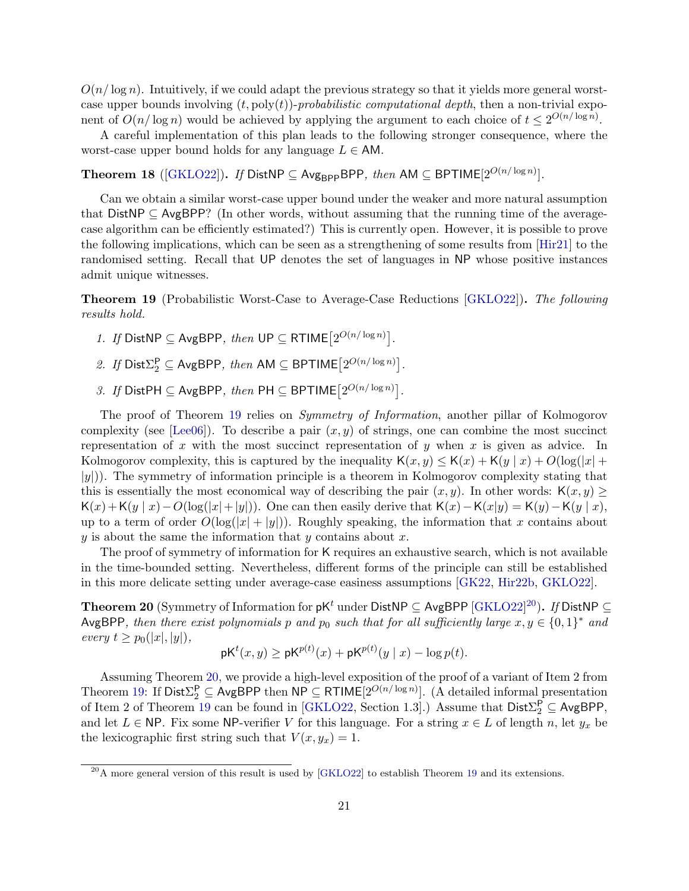$O(n/\log n)$ . Intuitively, if we could adapt the previous strategy so that it yields more general worstcase upper bounds involving  $(t, poly(t))$ -probabilistic computational depth, then a non-trivial exponent of  $O(n/\log n)$  would be achieved by applying the argument to each choice of  $t \leq 2^{O(n/\log n)}$ .

A careful implementation of this plan leads to the following stronger consequence, where the worst-case upper bound holds for any language  $L \in AM$ .

<span id="page-20-3"></span>Theorem 18 ([ $GKLO22$ ]). If DistNP  $\subseteq$  Avg<sub>BPP</sub>BPP, then AM  $\subseteq$  BPTIME $[2^{O(n/\log n)}]$ .

Can we obtain a similar worst-case upper bound under the weaker and more natural assumption that DistNP  $\subseteq$  AvgBPP? (In other words, without assuming that the running time of the averagecase algorithm can be efficiently estimated?) This is currently open. However, it is possible to prove the following implications, which can be seen as a strengthening of some results from [\[Hir21\]](#page-31-1) to the randomised setting. Recall that UP denotes the set of languages in NP whose positive instances admit unique witnesses.

<span id="page-20-0"></span>Theorem 19 (Probabilistic Worst-Case to Average-Case Reductions [\[GKLO22\]](#page-31-2)). The following results hold.

- 1. If DistNP  $\subseteq$  AvgBPP, then UP  $\subseteq$  RTIME $[2^{O(n/\log n)}]$ .
- 2. If  $Dist_{2}^{P} \subseteq AvgBPP$ , then AM  $\subseteq BPTIME[2^{O(n/\log n)}]$ .
- 3. If DistPH  $\subseteq$  AvgBPP, then PH  $\subseteq$  BPTIME $[2^{O(n/\log n)}]$ .

The proof of Theorem [19](#page-20-0) relies on *Symmetry of Information*, another pillar of Kolmogorov complexity (see [\[Lee06\]](#page-32-7)). To describe a pair  $(x, y)$  of strings, one can combine the most succinct representation of x with the most succinct representation of y when x is given as advice. In Kolmogorov complexity, this is captured by the inequality  $K(x, y) \leq K(x) + K(y | x) + O(\log(|x| +$  $|y|$ ). The symmetry of information principle is a theorem in Kolmogorov complexity stating that this is essentially the most economical way of describing the pair  $(x, y)$ . In other words:  $\mathsf{K}(x, y) \geq$  $K(x)+K(y | x)-O(\log(|x|+|y|))$ . One can then easily derive that  $K(x)-K(x|y)=K(y)-K(y | x)$ , up to a term of order  $O(\log(|x| + |y|))$ . Roughly speaking, the information that x contains about  $y$  is about the same the information that  $y$  contains about  $x$ .

The proof of symmetry of information for K requires an exhaustive search, which is not available in the time-bounded setting. Nevertheless, different forms of the principle can still be established in this more delicate setting under average-case easiness assumptions [\[GK22,](#page-31-12) [Hir22b,](#page-31-13) [GKLO22\]](#page-31-2).

<span id="page-20-2"></span>Theorem [20](#page-20-1) (Symmetry of Information for pK $^t$  under DistNP  $\subseteq$  AvgBPP [\[GKLO22\]](#page-31-2) $^{20}$ ). If DistNP  $\subseteq$ AvgBPP, then there exist polynomials p and  $p_0$  such that for all sufficiently large  $x, y \in \{0, 1\}^*$  and every  $t \geq p_0(|x|, |y|),$ 

$$
\mathsf{pK}^t(x,y) \ge \mathsf{pK}^{p(t)}(x) + \mathsf{pK}^{p(t)}(y \mid x) - \log p(t).
$$

Assuming Theorem [20,](#page-20-2) we provide a high-level exposition of the proof of a variant of Item 2 from Theorem [19:](#page-20-0) If  $Dist_{2}^{\mathsf{P}} \subseteq \textsf{AvgBPP}$  then  $\mathsf{NP} \subseteq \mathsf{RTIME}[2^{O(n/\log n)}]$ . (A detailed informal presentation of Item 2 of Theorem [19](#page-20-0) can be found in [\[GKLO22,](#page-31-2) Section 1.3].) Assume that  $\text{Dist}\Sigma_2^{\mathsf{P}} \subseteq \text{AvgBPP}$ , and let  $L \in \mathsf{NP}$ . Fix some NP-verifier V for this language. For a string  $x \in L$  of length n, let  $y_x$  be the lexicographic first string such that  $V(x, y_x) = 1$ .

<span id="page-20-1"></span> $^{20}$ A more general version of this result is used by [\[GKLO22\]](#page-31-2) to establish Theorem [19](#page-20-0) and its extensions.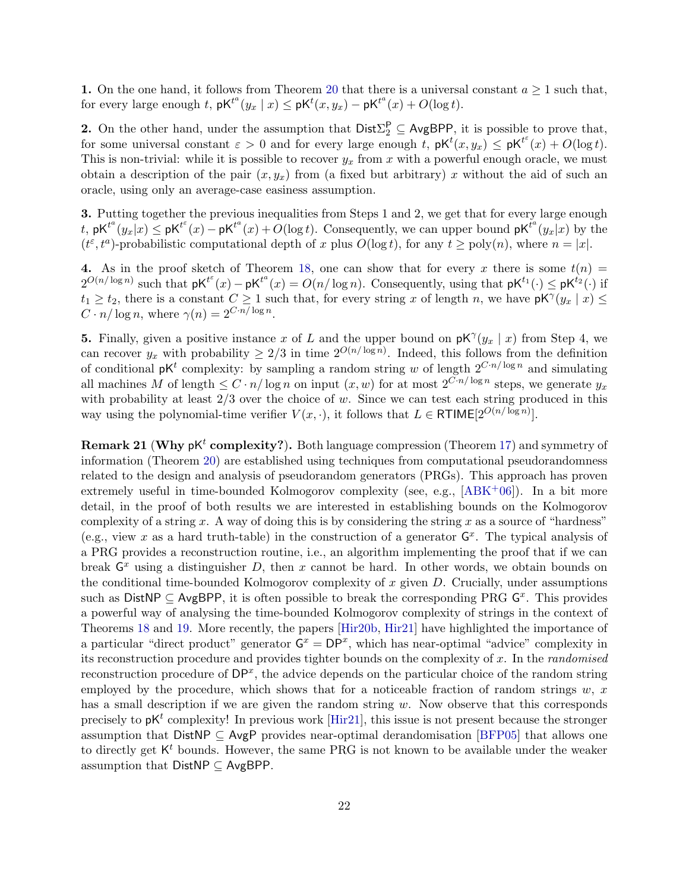1. On the one hand, it follows from Theorem [20](#page-20-2) that there is a universal constant  $a \geq 1$  such that, for every large enough t,  $\mathsf{pK}^{t^a}(y_x \mid x) \leq \mathsf{pK}^t(x, y_x) - \mathsf{pK}^{t^a}(x) + O(\log t)$ .

**2.** On the other hand, under the assumption that  $Dist \Sigma_2^P \subseteq AvgBPP$ , it is possible to prove that, for some universal constant  $\varepsilon > 0$  and for every large enough t,  $pK^{t}(x, y_x) \leq pK^{t^{\varepsilon}}(x) + O(\log t)$ . This is non-trivial: while it is possible to recover  $y_x$  from x with a powerful enough oracle, we must obtain a description of the pair  $(x, y_x)$  from (a fixed but arbitrary) x without the aid of such an oracle, using only an average-case easiness assumption.

3. Putting together the previous inequalities from Steps 1 and 2, we get that for every large enough t,  $pK^{t^a}(y_x|x) \leq pK^{t^c}(x) - pK^{t^a}(x) + O(\log t)$ . Consequently, we can upper bound  $pK^{t^a}(y_x|x)$  by the  $(t^{\varepsilon}, t^a)$ -probabilistic computational depth of x plus  $O(\log t)$ , for any  $t \geq \text{poly}(n)$ , where  $n = |x|$ .

4. As in the proof sketch of Theorem [18,](#page-20-3) one can show that for every x there is some  $t(n)$  =  $2^{O(n/\log n)}$  such that  $pK^{t^{\varepsilon}}(x) - pK^{t^{\alpha}}(x) = O(n/\log n)$ . Consequently, using that  $pK^{t_1}(\cdot) \leq pK^{t_2}(\cdot)$  if  $t_1 \geq t_2$ , there is a constant  $C \geq 1$  such that, for every string x of length n, we have  $\mathsf{p}\mathsf{K}^\gamma(y_x \mid x) \leq$  $C \cdot n / \log n$ , where  $\gamma(n) = 2^{C \cdot n / \log n}$ .

**5.** Finally, given a positive instance x of L and the upper bound on  $pK^{\gamma}(y_x \mid x)$  from Step 4, we can recover  $y_x$  with probability  $\geq 2/3$  in time  $2^{O(n/\log n)}$ . Indeed, this follows from the definition of conditional  $pK^t$  complexity: by sampling a random string w of length  $2^{C \cdot n / \log n}$  and simulating all machines M of length  $\leq C \cdot n/\log n$  on input  $(x, w)$  for at most  $2^{C \cdot n/\log n}$  steps, we generate  $y_x$ with probability at least  $2/3$  over the choice of w. Since we can test each string produced in this way using the polynomial-time verifier  $V(x, \cdot)$ , it follows that  $L \in \mathsf{RTIME}[2^{O(n/\log n)}]$ .

<span id="page-21-0"></span>**Remark 21 (Why pK<sup>t</sup> complexity?).** Both language compression (Theorem [17\)](#page-19-1) and symmetry of information (Theorem [20\)](#page-20-2) are established using techniques from computational pseudorandomness related to the design and analysis of pseudorandom generators (PRGs). This approach has proven extremely useful in time-bounded Kolmogorov complexity (see, e.g.,  $[ABK<sup>+</sup>06]$  $[ABK<sup>+</sup>06]$ ). In a bit more detail, in the proof of both results we are interested in establishing bounds on the Kolmogorov complexity of a string x. A way of doing this is by considering the string x as a source of "hardness" (e.g., view x as a hard truth-table) in the construction of a generator  $G<sup>x</sup>$ . The typical analysis of a PRG provides a reconstruction routine, i.e., an algorithm implementing the proof that if we can break  $G<sup>x</sup>$  using a distinguisher D, then x cannot be hard. In other words, we obtain bounds on the conditional time-bounded Kolmogorov complexity of x given  $D$ . Crucially, under assumptions such as DistNP  $\subseteq$  AvgBPP, it is often possible to break the corresponding PRG  $G^x$ . This provides a powerful way of analysing the time-bounded Kolmogorov complexity of strings in the context of Theorems [18](#page-20-3) and [19.](#page-20-0) More recently, the papers [\[Hir20b,](#page-31-14) [Hir21\]](#page-31-1) have highlighted the importance of a particular "direct product" generator  $G^x = DP^x$ , which has near-optimal "advice" complexity in its reconstruction procedure and provides tighter bounds on the complexity of x. In the randomised reconstruction procedure of  $DP<sup>x</sup>$ , the advice depends on the particular choice of the random string employed by the procedure, which shows that for a noticeable fraction of random strings  $w, x$ has a small description if we are given the random string  $w$ . Now observe that this corresponds precisely to  $pK^t$  complexity! In previous work [\[Hir21\]](#page-31-1), this issue is not present because the stronger assumption that DistNP  $\subseteq$  AvgP provides near-optimal derandomisation [\[BFP05\]](#page-30-12) that allows one to directly get  $K<sup>t</sup>$  bounds. However, the same PRG is not known to be available under the weaker assumption that  $DistNP \subseteq AvgBPP$ .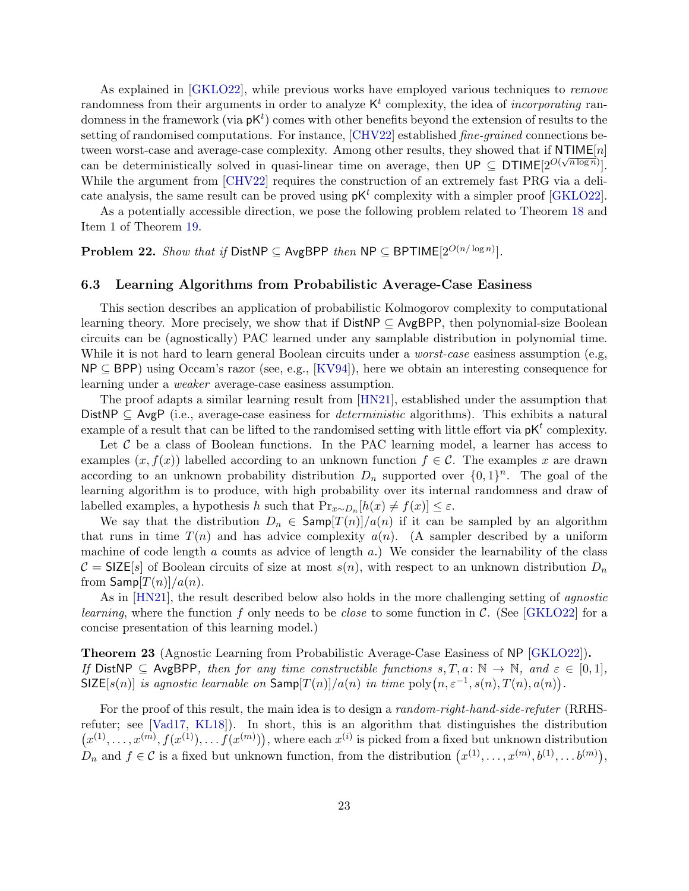As explained in [\[GKLO22\]](#page-31-2), while previous works have employed various techniques to remove randomness from their arguments in order to analyze  $K<sup>t</sup>$  complexity, the idea of *incorporating* randomness in the framework (via  $pK^t$ ) comes with other benefits beyond the extension of results to the setting of randomised computations. For instance, [\[CHV22\]](#page-30-10) established *fine-grained* connections between worst-case and average-case complexity. Among other results, they showed that if  $NTIME[n]$ can be deterministically solved in quasi-linear time on average, then  $\mathsf{UP} \subseteq \mathsf{DTIME}[2^{O(\sqrt{n \log n}})].$ While the argument from [\[CHV22\]](#page-30-10) requires the construction of an extremely fast PRG via a delicate analysis, the same result can be proved using  $pK<sup>t</sup>$  complexity with a simpler proof [\[GKLO22\]](#page-31-2).

As a potentially accessible direction, we pose the following problem related to Theorem [18](#page-20-3) and Item 1 of Theorem [19.](#page-20-0)

Problem 22. Show that if DistNP  $\subseteq$  AvgBPP then NP  $\subseteq$  BPTIME $[2^{O(n/\log n)}]$ .

#### <span id="page-22-0"></span>6.3 Learning Algorithms from Probabilistic Average-Case Easiness

This section describes an application of probabilistic Kolmogorov complexity to computational learning theory. More precisely, we show that if  $DistNP \subseteq AvgBPP$ , then polynomial-size Boolean circuits can be (agnostically) PAC learned under any samplable distribution in polynomial time. While it is not hard to learn general Boolean circuits under a *worst-case* easiness assumption (e.g, NP ⊆ BPP) using Occam's razor (see, e.g., [\[KV94\]](#page-32-13)), here we obtain an interesting consequence for learning under a weaker average-case easiness assumption.

The proof adapts a similar learning result from [\[HN21\]](#page-31-0), established under the assumption that DistNP  $\subseteq$  AvgP (i.e., average-case easiness for *deterministic* algorithms). This exhibits a natural example of a result that can be lifted to the randomised setting with little effort via  $pK<sup>t</sup>$  complexity.

Let  $C$  be a class of Boolean functions. In the PAC learning model, a learner has access to examples  $(x, f(x))$  labelled according to an unknown function  $f \in \mathcal{C}$ . The examples x are drawn according to an unknown probability distribution  $D_n$  supported over  $\{0,1\}^n$ . The goal of the learning algorithm is to produce, with high probability over its internal randomness and draw of labelled examples, a hypothesis h such that  $Pr_{x \sim D_n}[h(x) \neq f(x)] \leq \varepsilon$ .

We say that the distribution  $D_n \in \text{Samp}[T(n)]/a(n)$  if it can be sampled by an algorithm that runs in time  $T(n)$  and has advice complexity  $a(n)$ . (A sampler described by a uniform machine of code length  $a$  counts as advice of length  $a$ .) We consider the learnability of the class  $C = \text{SIZE}[s]$  of Boolean circuits of size at most  $s(n)$ , with respect to an unknown distribution  $D_n$ from  $\textsf{Samp}[T(n)]/a(n)$ .

As in [\[HN21\]](#page-31-0), the result described below also holds in the more challenging setting of *agnostic learning*, where the function f only needs to be *close* to some function in C. (See [\[GKLO22\]](#page-31-2) for a concise presentation of this learning model.)

Theorem 23 (Agnostic Learning from Probabilistic Average-Case Easiness of NP [\[GKLO22\]](#page-31-2)). If DistNP  $\subseteq$  AvgBPP, then for any time constructible functions  $s, T, a: \mathbb{N} \to \mathbb{N}$ , and  $\varepsilon \in [0, 1]$ , SIZE[s(n)] is agnostic learnable on  $\textsf{Samp}[T(n)]/a(n)$  in time  $\text{poly}(n, \varepsilon^{-1}, s(n), T(n), a(n))$ .

For the proof of this result, the main idea is to design a *random-right-hand-side-refuter* (RRHSrefuter; see [\[Vad17,](#page--1-19) [KL18\]](#page-32-14)). In short, this is an algorithm that distinguishes the distribution  $(x^{(1)},...,x^{(m)},f(x^{(1)}),...,f(x^{(m)}))$ , where each  $x^{(i)}$  is picked from a fixed but unknown distribution  $D_n$  and  $f \in \mathcal{C}$  is a fixed but unknown function, from the distribution  $(x^{(1)},...,x^{(m)},b^{(1)},...,b^{(m)}),$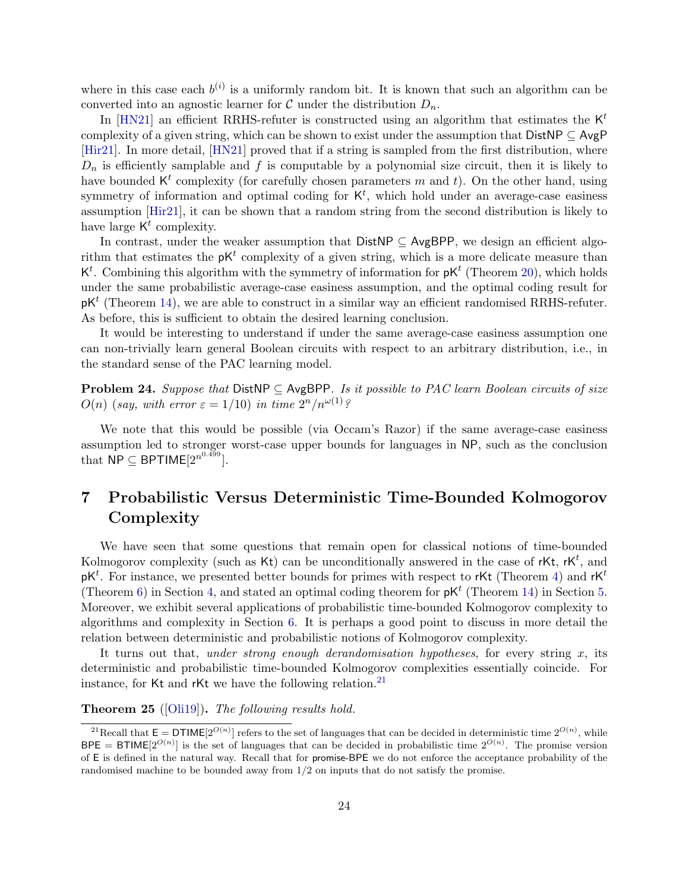where in this case each  $b^{(i)}$  is a uniformly random bit. It is known that such an algorithm can be converted into an agnostic learner for C under the distribution  $D_n$ .

In [\[HN21\]](#page-31-0) an efficient RRHS-refuter is constructed using an algorithm that estimates the  $K^t$ complexity of a given string, which can be shown to exist under the assumption that  $DistNP \subseteq AvgP$ [\[Hir21\]](#page-31-1). In more detail, [\[HN21\]](#page-31-0) proved that if a string is sampled from the first distribution, where  $D_n$  is efficiently samplable and f is computable by a polynomial size circuit, then it is likely to have bounded  $K^t$  complexity (for carefully chosen parameters m and t). On the other hand, using symmetry of information and optimal coding for  $K<sup>t</sup>$ , which hold under an average-case easiness assumption [\[Hir21\]](#page-31-1), it can be shown that a random string from the second distribution is likely to have large  $K^t$  complexity.

In contrast, under the weaker assumption that DistNP ⊆ AvgBPP, we design an efficient algorithm that estimates the  $pK^t$  complexity of a given string, which is a more delicate measure than  $\mathsf{K}^t$ . Combining this algorithm with the symmetry of information for  $\mathsf{p}\mathsf{K}^t$  (Theorem [20\)](#page-20-2), which holds under the same probabilistic average-case easiness assumption, and the optimal coding result for  $pK^t$  (Theorem [14\)](#page-14-1), we are able to construct in a similar way an efficient randomised RRHS-refuter. As before, this is sufficient to obtain the desired learning conclusion.

It would be interesting to understand if under the same average-case easiness assumption one can non-trivially learn general Boolean circuits with respect to an arbitrary distribution, i.e., in the standard sense of the PAC learning model.

**Problem 24.** Suppose that  $DistNP \subseteq AvgBPP$ . Is it possible to PAC learn Boolean circuits of size  $O(n)$  (say, with error  $\varepsilon = 1/10$ ) in time  $2^n/n^{\omega(1)}$ ?

We note that this would be possible (via Occam's Razor) if the same average-case easiness assumption led to stronger worst-case upper bounds for languages in NP, such as the conclusion that  $\overline{\mathsf{NP}} \subseteq \mathsf{BPTIME}[2^{n^{0.499}}].$ 

## <span id="page-23-0"></span>7 Probabilistic Versus Deterministic Time-Bounded Kolmogorov Complexity

We have seen that some questions that remain open for classical notions of time-bounded Kolmogorov complexity (such as  $\mathsf{Kt}$ ) can be unconditionally answered in the case of r $\mathsf{Kt}$ ,  $\mathsf{rK}^t$ , and  $pK^t$ . For instance, we presented better bounds for primes with respect to rKt (Theorem [4\)](#page-9-1) and rK<sup>t</sup> (Theorem [6\)](#page-10-0) in Section [4,](#page-9-0) and stated an optimal coding theorem for  $pK^t$  (Theorem [14\)](#page-14-1) in Section [5.](#page-11-0) Moreover, we exhibit several applications of probabilistic time-bounded Kolmogorov complexity to algorithms and complexity in Section [6.](#page-15-0) It is perhaps a good point to discuss in more detail the relation between deterministic and probabilistic notions of Kolmogorov complexity.

It turns out that, under strong enough derandomisation hypotheses, for every string  $x$ , its deterministic and probabilistic time-bounded Kolmogorov complexities essentially coincide. For instance, for Kt and rKt we have the following relation.<sup>[21](#page-23-1)</sup>

#### <span id="page-23-2"></span>Theorem 25 ([\[Oli19\]](#page-32-8)). The following results hold.

<span id="page-23-1"></span><sup>&</sup>lt;sup>21</sup>Recall that  $E = DTIME[2^{O(n)}]$  refers to the set of languages that can be decided in deterministic time  $2^{O(n)}$ , while  $BPE = BTIME[2^{O(n)}]$  is the set of languages that can be decided in probabilistic time  $2^{O(n)}$ . The promise version of E is defined in the natural way. Recall that for promise-BPE we do not enforce the acceptance probability of the randomised machine to be bounded away from 1/2 on inputs that do not satisfy the promise.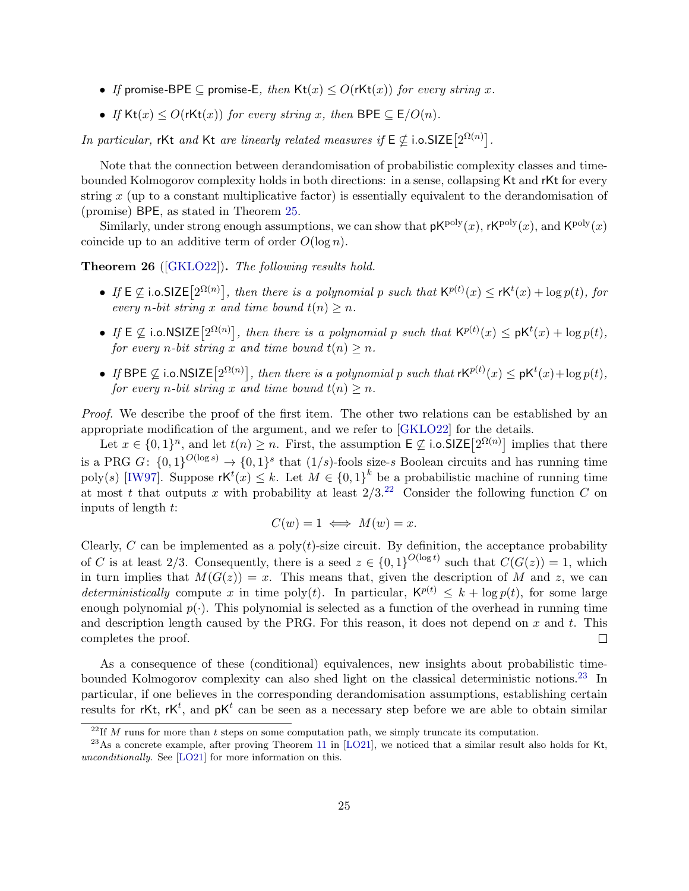- If promise-BPE  $\subseteq$  promise-E, then  $\mathsf{Kt}(x) \leq O(\mathsf{rKt}(x))$  for every string x.
- If  $\text{Kt}(x) \leq O(\text{rKt}(x))$  for every string x, then BPE  $\subseteq E/O(n)$ .

In particular, rKt and Kt are linearly related measures if  $E \nsubseteq$  i.o.SIZE $[2^{\Omega(n)}]$ .

Note that the connection between derandomisation of probabilistic complexity classes and timebounded Kolmogorov complexity holds in both directions: in a sense, collapsing Kt and rKt for every string  $x$  (up to a constant multiplicative factor) is essentially equivalent to the derandomisation of (promise) BPE, as stated in Theorem [25.](#page-23-2)

Similarly, under strong enough assumptions, we can show that  $pK^{poly}(x)$ ,  $rK^{poly}(x)$ , and  $K^{poly}(x)$ coincide up to an additive term of order  $O(\log n)$ .

#### Theorem 26 ([\[GKLO22\]](#page-31-2)). The following results hold.

- If  $E \nsubseteq$  i.o.SIZE $[2^{\Omega(n)}]$ , then there is a polynomial p such that  $\mathsf{K}^{p(t)}(x) \leq \mathsf{K}^{t}(x) + \log p(t)$ , for every *n*-bit string x and time bound  $t(n) \geq n$ .
- If  $E \nsubseteq$  i.o.NSIZE $[2^{\Omega(n)}]$ , then there is a polynomial p such that  $\mathsf{K}^{p(t)}(x) \leq \mathsf{p}\mathsf{K}^{t}(x) + \log p(t)$ , for every *n*-bit string x and time bound  $t(n) > n$ .
- If BPE  $\nsubseteq$  i.o.NSIZE $[2^{\Omega(n)}]$ , then there is a polynomial p such that  $\mathsf{rk}^{p(t)}(x) \leq \mathsf{pk}^t(x) + \log p(t)$ , for every *n*-bit string x and time bound  $t(n) > n$ .

Proof. We describe the proof of the first item. The other two relations can be established by an appropriate modification of the argument, and we refer to [\[GKLO22\]](#page-31-2) for the details.

Let  $x \in \{0,1\}^n$ , and let  $t(n) \geq n$ . First, the assumption  $\mathsf{E} \not\subseteq$  i.o.SIZE $[2^{\Omega(n)}]$  implies that there is a PRG  $G: \{0,1\}^{O(\log s)} \to \{0,1\}^s$  that  $(1/s)$ -fools size-s Boolean circuits and has running time poly(s) [\[IW97\]](#page-31-15). Suppose  $\mathsf{rk}^t(x) \leq k$ . Let  $M \in \{0,1\}^k$  be a probabilistic machine of running time at most t that outputs x with probability at least  $2/3$ .<sup>[22](#page-24-0)</sup> Consider the following function C on inputs of length t:

$$
C(w) = 1 \iff M(w) = x.
$$

Clearly, C can be implemented as a  $poly(t)$ -size circuit. By definition, the acceptance probability of C is at least 2/3. Consequently, there is a seed  $z \in \{0,1\}^{O(\log t)}$  such that  $C(G(z)) = 1$ , which in turn implies that  $M(G(z)) = x$ . This means that, given the description of M and z, we can deterministically compute x in time poly(t). In particular,  $K^{p(t)} \leq k + \log p(t)$ , for some large enough polynomial  $p(\cdot)$ . This polynomial is selected as a function of the overhead in running time and description length caused by the PRG. For this reason, it does not depend on  $x$  and  $t$ . This completes the proof.  $\Box$ 

As a consequence of these (conditional) equivalences, new insights about probabilistic time-bounded Kolmogorov complexity can also shed light on the classical deterministic notions.<sup>[23](#page-24-1)</sup> In particular, if one believes in the corresponding derandomisation assumptions, establishing certain results for rKt, rK<sup>t</sup>, and  $pK<sup>t</sup>$  can be seen as a necessary step before we are able to obtain similar

<span id="page-24-1"></span><span id="page-24-0"></span><sup>&</sup>lt;sup>22</sup>If M runs for more than t steps on some computation path, we simply truncate its computation.

 $^{23}$ As a concrete example, after proving Theorem [11](#page-12-2) in [\[LO21\]](#page-32-9), we noticed that a similar result also holds for Kt, unconditionally. See [\[LO21\]](#page-32-9) for more information on this.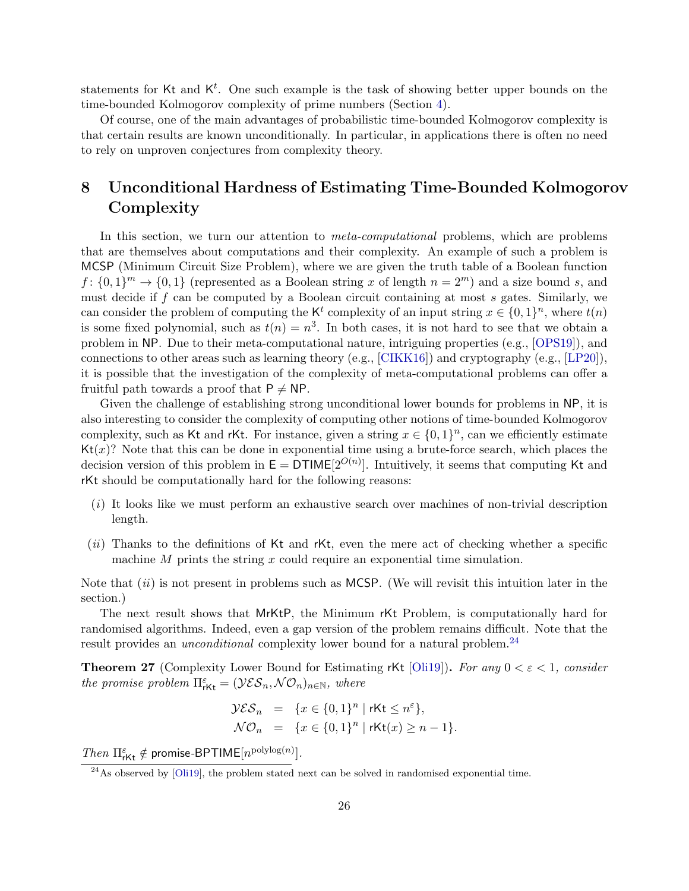statements for Kt and  $K^t$ . One such example is the task of showing better upper bounds on the time-bounded Kolmogorov complexity of prime numbers (Section [4\)](#page-9-0).

Of course, one of the main advantages of probabilistic time-bounded Kolmogorov complexity is that certain results are known unconditionally. In particular, in applications there is often no need to rely on unproven conjectures from complexity theory.

## <span id="page-25-0"></span>8 Unconditional Hardness of Estimating Time-Bounded Kolmogorov Complexity

In this section, we turn our attention to *meta-computational* problems, which are problems that are themselves about computations and their complexity. An example of such a problem is MCSP (Minimum Circuit Size Problem), where we are given the truth table of a Boolean function  $f: \{0,1\}^m \to \{0,1\}$  (represented as a Boolean string x of length  $n = 2^m$ ) and a size bound s, and must decide if  $f$  can be computed by a Boolean circuit containing at most  $s$  gates. Similarly, we can consider the problem of computing the K<sup>t</sup> complexity of an input string  $x \in \{0,1\}^n$ , where  $t(n)$ is some fixed polynomial, such as  $t(n) = n^3$ . In both cases, it is not hard to see that we obtain a problem in NP. Due to their meta-computational nature, intriguing properties (e.g., [\[OPS19\]](#page--1-1)), and connections to other areas such as learning theory (e.g., [\[CIKK16\]](#page-30-0)) and cryptography (e.g., [\[LP20\]](#page-32-3)), it is possible that the investigation of the complexity of meta-computational problems can offer a fruitful path towards a proof that  $P \neq NP$ .

Given the challenge of establishing strong unconditional lower bounds for problems in NP, it is also interesting to consider the complexity of computing other notions of time-bounded Kolmogorov complexity, such as Kt and rKt. For instance, given a string  $x \in \{0,1\}^n$ , can we efficiently estimate  $Kt(x)$ ? Note that this can be done in exponential time using a brute-force search, which places the decision version of this problem in  $E = DTIME[2^{O(n)}]$ . Intuitively, it seems that computing Kt and rKt should be computationally hard for the following reasons:

- $(i)$  It looks like we must perform an exhaustive search over machines of non-trivial description length.
- $(ii)$  Thanks to the definitions of Kt and rKt, even the mere act of checking whether a specific machine  $M$  prints the string  $x$  could require an exponential time simulation.

Note that  $(ii)$  is not present in problems such as MCSP. (We will revisit this intuition later in the section.)

The next result shows that MrKtP, the Minimum rKt Problem, is computationally hard for randomised algorithms. Indeed, even a gap version of the problem remains difficult. Note that the result provides an *unconditional* complexity lower bound for a natural problem.<sup>[24](#page-25-1)</sup>

<span id="page-25-2"></span>**Theorem 27** (Complexity Lower Bound for Estimating rKt [\[Oli19\]](#page-32-8)). For any  $0 < \varepsilon < 1$ , consider the promise problem  $\Pi_{\text{rKt}}^{\varepsilon} = (\mathcal{Y}\mathcal{E}\mathcal{S}_n, \mathcal{N}\mathcal{O}_n)_{n \in \mathbb{N}},$  where

$$
\mathcal{YES}_{n} = \{x \in \{0,1\}^{n} \mid r\mathsf{Kt} \leq n^{\varepsilon}\},
$$
  

$$
\mathcal{NO}_{n} = \{x \in \{0,1\}^{n} \mid r\mathsf{Kt}(x) \geq n-1\}.
$$

Then  $\Pi_{\text{rKt}}^{\varepsilon} \notin \text{promise-BPTIME}[n^{\text{polylog}(n)}].$ 

<span id="page-25-1"></span> $^{24}$ As observed by [\[Oli19\]](#page-32-8), the problem stated next can be solved in randomised exponential time.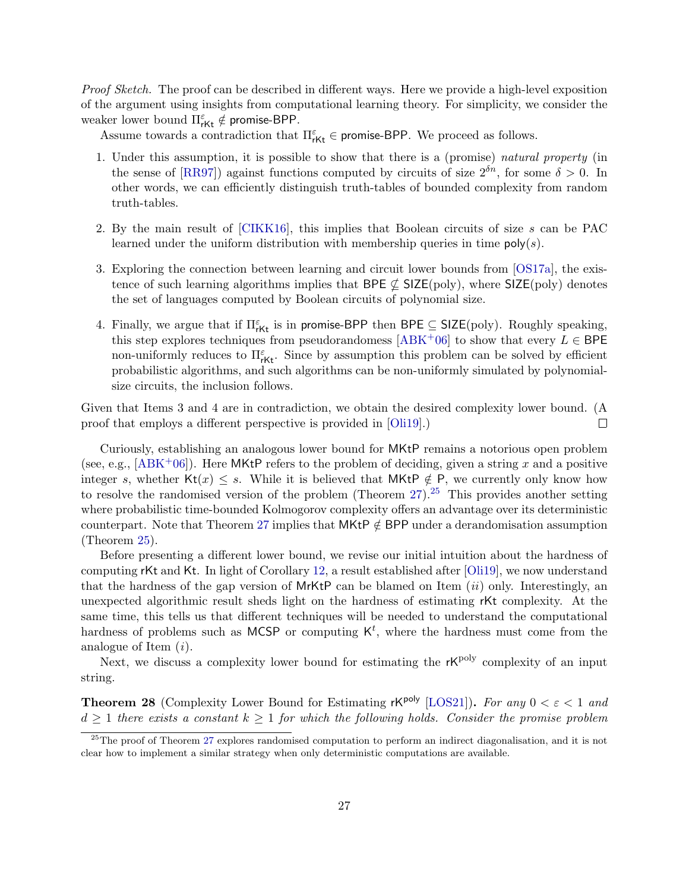Proof Sketch. The proof can be described in different ways. Here we provide a high-level exposition of the argument using insights from computational learning theory. For simplicity, we consider the weaker lower bound  $\Pi_{\mathsf{rKt}}^{\varepsilon} \notin \mathsf{promise-BPP}.$ 

Assume towards a contradiction that  $\Pi_{r\mathsf{Kt}}^{\varepsilon} \in \mathsf{promise-BPP}$ . We proceed as follows.

- 1. Under this assumption, it is possible to show that there is a (promise) natural property (in the sense of [\[RR97\]](#page--1-20)) against functions computed by circuits of size  $2^{\delta n}$ , for some  $\delta > 0$ . In other words, we can efficiently distinguish truth-tables of bounded complexity from random truth-tables.
- 2. By the main result of [\[CIKK16\]](#page-30-0), this implies that Boolean circuits of size s can be PAC learned under the uniform distribution with membership queries in time  $poly(s)$ .
- 3. Exploring the connection between learning and circuit lower bounds from [\[OS17a\]](#page--1-21), the existence of such learning algorithms implies that BPE  $\nsubseteq$  SIZE(poly), where SIZE(poly) denotes the set of languages computed by Boolean circuits of polynomial size.
- 4. Finally, we argue that if  $\Pi_{\mathsf{rKt}}^{\varepsilon}$  is in promise-BPP then BPE  $\subseteq$  SIZE(poly). Roughly speaking, this step explores techniques from pseudorandomess [\[ABK](#page-29-1)<sup>+</sup>06] to show that every  $L \in \mathsf{BPE}$ non-uniformly reduces to  $\Pi_{\mathsf{rKt}}^{\varepsilon}$ . Since by assumption this problem can be solved by efficient probabilistic algorithms, and such algorithms can be non-uniformly simulated by polynomialsize circuits, the inclusion follows.

Given that Items 3 and 4 are in contradiction, we obtain the desired complexity lower bound. (A proof that employs a different perspective is provided in [\[Oli19\]](#page-32-8).)  $\Box$ 

Curiously, establishing an analogous lower bound for MKtP remains a notorious open problem (see, e.g.,  $[ABK^+06]$  $[ABK^+06]$ ). Here MKtP refers to the problem of deciding, given a string x and a positive integer s, whether Kt(x)  $\leq$  s. While it is believed that MKtP  $\notin$  P, we currently only know how to resolve the randomised version of the problem (Theorem  $27$ ).<sup>[25](#page-26-0)</sup> This provides another setting where probabilistic time-bounded Kolmogorov complexity offers an advantage over its deterministic counterpart. Note that Theorem [27](#page-25-2) implies that MKtP  $\notin$  BPP under a derandomisation assumption (Theorem [25\)](#page-23-2).

Before presenting a different lower bound, we revise our initial intuition about the hardness of computing rKt and Kt. In light of Corollary [12,](#page-13-2) a result established after [\[Oli19\]](#page-32-8), we now understand that the hardness of the gap version of  $MrKtP$  can be blamed on Item (*ii*) only. Interestingly, an unexpected algorithmic result sheds light on the hardness of estimating rKt complexity. At the same time, this tells us that different techniques will be needed to understand the computational hardness of problems such as MCSP or computing  $K^t$ , where the hardness must come from the analogue of Item (i).

Next, we discuss a complexity lower bound for estimating the  $rK^{poly}$  complexity of an input string.

**Theorem 28** (Complexity Lower Bound for Estimating rK<sup>poly</sup> [\[LOS21\]](#page-32-10)). For any  $0 < \varepsilon < 1$  and  $d \geq 1$  there exists a constant  $k \geq 1$  for which the following holds. Consider the promise problem

<span id="page-26-0"></span><sup>&</sup>lt;sup>25</sup>The proof of Theorem [27](#page-25-2) explores randomised computation to perform an indirect diagonalisation, and it is not clear how to implement a similar strategy when only deterministic computations are available.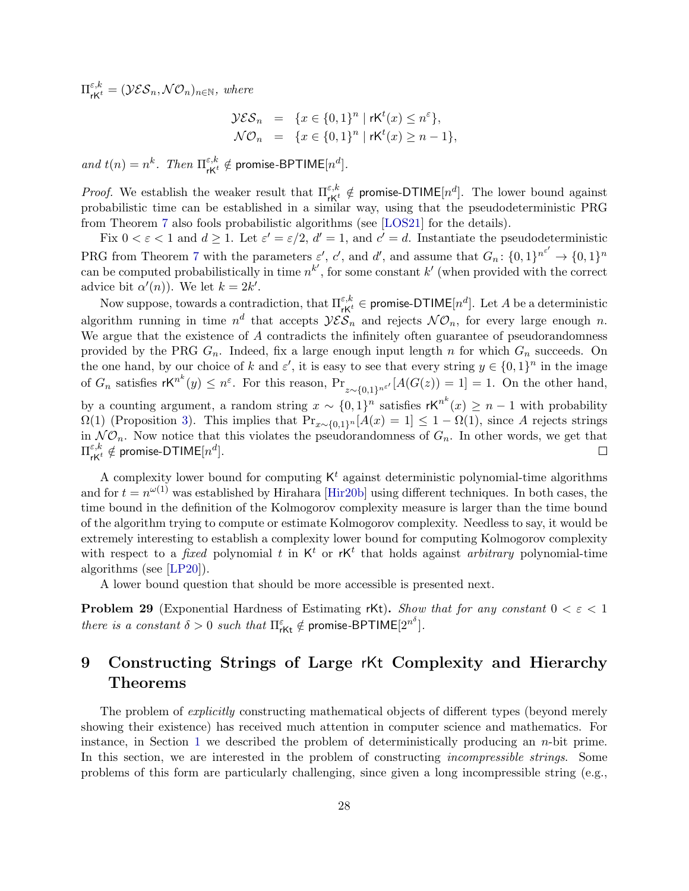$\Pi_{\mathsf{r}\mathsf{K}^t}^{\varepsilon,k} = (\mathcal{Y}\mathcal{E}\mathcal{S}_n, \mathcal{N}\mathcal{O}_n)_{n \in \mathbb{N}}, \text{ where}$ 

$$
\mathcal{YES}_n = \{x \in \{0,1\}^n \mid r\mathsf{K}^t(x) \le n^{\varepsilon}\},
$$
  

$$
\mathcal{NO}_n = \{x \in \{0,1\}^n \mid r\mathsf{K}^t(x) \ge n-1\},
$$

and  $t(n) = n^k$ . Then  $\Pi_{\mathsf{r}\mathsf{K}^t}^{\varepsilon,k} \notin \mathsf{promise-BPTIME}[n^d]$ .

*Proof.* We establish the weaker result that  $\Pi_{rK^t}^{\varepsilon,k} \notin \text{promise-DTIME}[n^d]$ . The lower bound against probabilistic time can be established in a similar way, using that the pseudodeterministic PRG from Theorem [7](#page-10-1) also fools probabilistic algorithms (see [\[LOS21\]](#page-32-10) for the details).

Fix  $0 < \varepsilon < 1$  and  $d \ge 1$ . Let  $\varepsilon' = \varepsilon/2$ ,  $d' = 1$ , and  $c' = d$ . Instantiate the pseudodeterministic PRG from Theorem [7](#page-10-1) with the parameters  $\varepsilon'$ , c', and d', and assume that  $G_n: \{0,1\}^{n^{\varepsilon'}} \to \{0,1\}^n$ can be computed probabilistically in time  $n^{k'}$ , for some constant k' (when provided with the correct advice bit  $\alpha'(n)$ ). We let  $k = 2k'$ .

Now suppose, towards a contradiction, that  $\Pi_{\mathsf{rK}^t}^{\varepsilon,k} \in \mathsf{promise-DTIME}[n^d].$  Let  $A$  be a deterministic algorithm running in time  $n^d$  that accepts  $\mathcal{YES}_n$  and rejects  $\mathcal{NO}_n$ , for every large enough n. We argue that the existence of A contradicts the infinitely often guarantee of pseudorandomness provided by the PRG  $G_n$ . Indeed, fix a large enough input length n for which  $G_n$  succeeds. On the one hand, by our choice of k and  $\varepsilon'$ , it is easy to see that every string  $y \in \{0,1\}^n$  in the image of  $G_n$  satisfies  $rK^{n^k}(y) \leq n^{\varepsilon}$ . For this reason,  $Pr_{z \sim \{0,1\}^{n^{\varepsilon'}}}[A(G(z)) = 1] = 1$ . On the other hand, by a counting argument, a random string  $x \sim \{0,1\}^n$  satisfies  $\mathsf{rK}^{n^k}(x) \geq n-1$  with probability  $\Omega(1)$  (Proposition [3\)](#page-8-0). This implies that  $Pr_{x \sim \{0,1\}^n}[A(x) = 1] \leq 1 - \Omega(1)$ , since A rejects strings in  $N\mathcal{O}_n$ . Now notice that this violates the pseudorandomness of  $G_n$ . In other words, we get that  $\Pi^{\varepsilon,k}_{\mathsf{r}\mathsf{K}^t}\notin\mathsf{promise-DTIME}[n^d].$  $\Box$ 

A complexity lower bound for computing  $K<sup>t</sup>$  against deterministic polynomial-time algorithms and for  $t = n^{\omega(1)}$  was established by Hirahara [\[Hir20b\]](#page-31-14) using different techniques. In both cases, the time bound in the definition of the Kolmogorov complexity measure is larger than the time bound of the algorithm trying to compute or estimate Kolmogorov complexity. Needless to say, it would be extremely interesting to establish a complexity lower bound for computing Kolmogorov complexity with respect to a *fixed* polynomial t in  $K^t$  or  $rK^t$  that holds against *arbitrary* polynomial-time algorithms (see [\[LP20\]](#page-32-3)).

A lower bound question that should be more accessible is presented next.

**Problem 29** (Exponential Hardness of Estimating rKt). Show that for any constant  $0 < \varepsilon < 1$ there is a constant  $\delta > 0$  such that  $\Pi_{\mathsf{rKt}}^{\varepsilon} \notin \mathsf{promise-BPTIME}[2^{n^{\delta}}].$ 

## <span id="page-27-0"></span>9 Constructing Strings of Large rKt Complexity and Hierarchy Theorems

The problem of *explicitly* constructing mathematical objects of different types (beyond merely showing their existence) has received much attention in computer science and mathematics. For instance, in Section [1](#page-2-0) we described the problem of deterministically producing an  $n$ -bit prime. In this section, we are interested in the problem of constructing *incompressible strings*. Some problems of this form are particularly challenging, since given a long incompressible string (e.g.,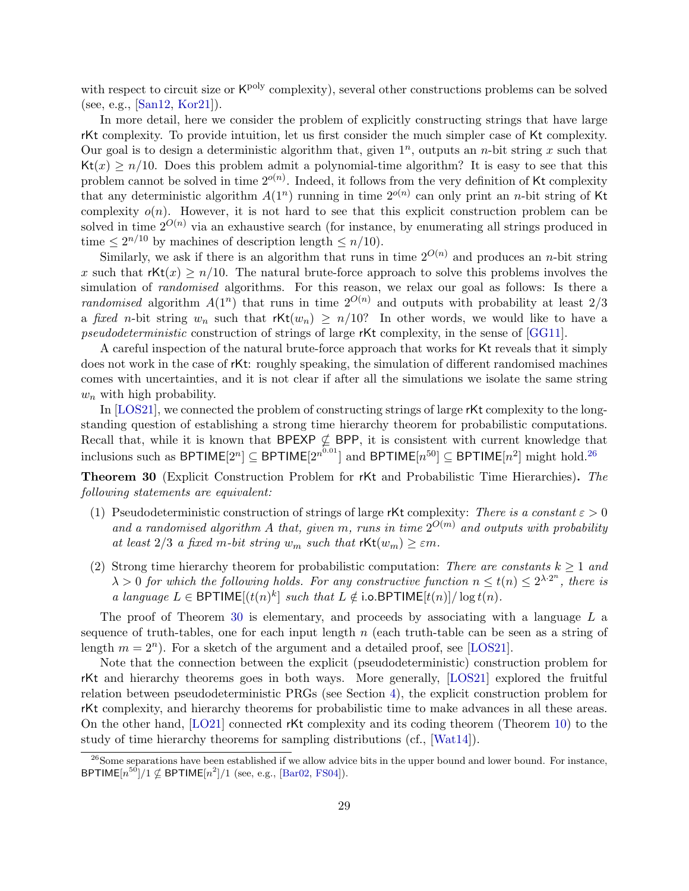with respect to circuit size or  $\mathsf{K}^{\text{poly}}$  complexity), several other constructions problems can be solved (see, e.g., [\[San12,](#page--1-22) [Kor21\]](#page-32-15)).

In more detail, here we consider the problem of explicitly constructing strings that have large rKt complexity. To provide intuition, let us first consider the much simpler case of Kt complexity. Our goal is to design a deterministic algorithm that, given  $1^n$ , outputs an *n*-bit string x such that  $Kt(x) \geq n/10$ . Does this problem admit a polynomial-time algorithm? It is easy to see that this problem cannot be solved in time  $2^{o(n)}$ . Indeed, it follows from the very definition of Kt complexity that any deterministic algorithm  $A(1^n)$  running in time  $2^{o(n)}$  can only print an *n*-bit string of Kt complexity  $o(n)$ . However, it is not hard to see that this explicit construction problem can be solved in time  $2^{O(n)}$  via an exhaustive search (for instance, by enumerating all strings produced in time  $\leq 2^{n/10}$  by machines of description length  $\leq n/10$ ).

Similarly, we ask if there is an algorithm that runs in time  $2^{O(n)}$  and produces an *n*-bit string x such that  $rKt(x) \geq n/10$ . The natural brute-force approach to solve this problems involves the simulation of *randomised* algorithms. For this reason, we relax our goal as follows: Is there a randomised algorithm  $A(1^n)$  that runs in time  $2^{O(n)}$  and outputs with probability at least  $2/3$ a fixed n-bit string  $w_n$  such that  $rKt(w_n) \geq n/10$ ? In other words, we would like to have a pseudodeterministic construction of strings of large rKt complexity, in the sense of [\[GG11\]](#page-30-6).

A careful inspection of the natural brute-force approach that works for Kt reveals that it simply does not work in the case of rKt: roughly speaking, the simulation of different randomised machines comes with uncertainties, and it is not clear if after all the simulations we isolate the same string  $w_n$  with high probability.

In [\[LOS21\]](#page-32-10), we connected the problem of constructing strings of large rKt complexity to the longstanding question of establishing a strong time hierarchy theorem for probabilistic computations. Recall that, while it is known that BPEXP  $\nsubseteq$  BPP, it is consistent with current knowledge that inclusions such as BPTIME[2<sup>n</sup>]  $\subseteq$  BPTIME[2<sup>n0.01</sup>] and BPTIME[n<sup>50</sup>]  $\subseteq$  BPTIME[n<sup>2</sup>] might hold.<sup>[26](#page-28-0)</sup>

<span id="page-28-1"></span>Theorem 30 (Explicit Construction Problem for rKt and Probabilistic Time Hierarchies). The following statements are equivalent:

- (1) Pseudodeterministic construction of strings of large rKt complexity: There is a constant  $\varepsilon > 0$ and a randomised algorithm A that, given m, runs in time  $2^{O(m)}$  and outputs with probability at least  $2/3$  a fixed m-bit string  $w_m$  such that  $\text{rKt}(w_m) \geq \varepsilon m$ .
- (2) Strong time hierarchy theorem for probabilistic computation: There are constants  $k \geq 1$  and  $\lambda > 0$  for which the following holds. For any constructive function  $n \le t(n) \le 2^{\lambda \cdot 2^n}$ , there is a language  $L \in \mathsf{BPTIME}[(t(n)^k] \text{ such that } L \notin \mathsf{io}.\mathsf{BPTIME}[t(n)]/\log t(n)].$

The proof of Theorem [30](#page-28-1) is elementary, and proceeds by associating with a language  $L$  a sequence of truth-tables, one for each input length  $n$  (each truth-table can be seen as a string of length  $m = 2<sup>n</sup>$ ). For a sketch of the argument and a detailed proof, see [\[LOS21\]](#page-32-10).

Note that the connection between the explicit (pseudodeterministic) construction problem for rKt and hierarchy theorems goes in both ways. More generally, [\[LOS21\]](#page-32-10) explored the fruitful relation between pseudodeterministic PRGs (see Section [4\)](#page-9-0), the explicit construction problem for rKt complexity, and hierarchy theorems for probabilistic time to make advances in all these areas. On the other hand, [\[LO21\]](#page-32-9) connected rKt complexity and its coding theorem (Theorem [10\)](#page-12-1) to the study of time hierarchy theorems for sampling distributions (cf., [\[Wat14\]](#page--1-23)).

<span id="page-28-0"></span><sup>&</sup>lt;sup>26</sup>Some separations have been established if we allow advice bits in the upper bound and lower bound. For instance, BPTIME $[n^{50}]/1 \nsubseteq$  BPTIME $[n^2]/1$  (see, e.g., [\[Bar02,](#page-30-13) [FS04\]](#page-30-14)).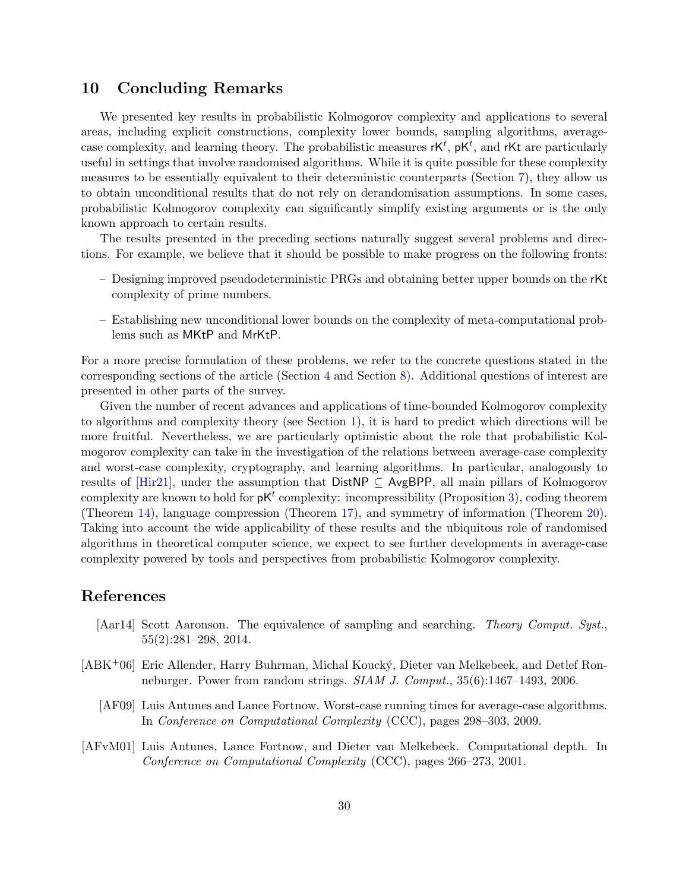### <span id="page-29-0"></span>10 Concluding Remarks

We presented key results in probabilistic Kolmogorov complexity and applications to several areas, including explicit constructions, complexity lower bounds, sampling algorithms, averagecase complexity, and learning theory. The probabilistic measures  $\mathsf{r}\mathsf{K}^t$ ,  $\mathsf{p}\mathsf{K}^t$ , and  $\mathsf{r}\mathsf{K}$ t are particularly useful in settings that involve randomised algorithms. While it is quite possible for these complexity measures to be essentially equivalent to their deterministic counterparts (Section [7\)](#page-23-0), they allow us to obtain unconditional results that do not rely on derandomisation assumptions. In some cases, probabilistic Kolmogorov complexity can significantly simplify existing arguments or is the only known approach to certain results.

The results presented in the preceding sections naturally suggest several problems and directions. For example, we believe that it should be possible to make progress on the following fronts:

- Designing improved pseudodeterministic PRGs and obtaining better upper bounds on the rKt complexity of prime numbers.
- Establishing new unconditional lower bounds on the complexity of meta-computational problems such as MKtP and MrKtP.

For a more precise formulation of these problems, we refer to the concrete questions stated in the corresponding sections of the article (Section [4](#page-9-0) and Section [8\)](#page-25-0). Additional questions of interest are presented in other parts of the survey.

Given the number of recent advances and applications of time-bounded Kolmogorov complexity to algorithms and complexity theory (see Section [1\)](#page-2-0), it is hard to predict which directions will be more fruitful. Nevertheless, we are particularly optimistic about the role that probabilistic Kolmogorov complexity can take in the investigation of the relations between average-case complexity and worst-case complexity, cryptography, and learning algorithms. In particular, analogously to results of [\[Hir21\]](#page-31-1), under the assumption that  $DistNP \subseteq AvgBPP$ , all main pillars of Kolmogorov complexity are known to hold for  $pK<sup>t</sup>$  complexity: incompressibility (Proposition [3\)](#page-8-0), coding theorem (Theorem [14\)](#page-14-1), language compression (Theorem [17\)](#page-19-1), and symmetry of information (Theorem [20\)](#page-20-2). Taking into account the wide applicability of these results and the ubiquitous role of randomised algorithms in theoretical computer science, we expect to see further developments in average-case complexity powered by tools and perspectives from probabilistic Kolmogorov complexity.

### References

- <span id="page-29-3"></span>[Aar14] Scott Aaronson. The equivalence of sampling and searching. Theory Comput. Syst., 55(2):281–298, 2014.
- <span id="page-29-2"></span><span id="page-29-1"></span>[ABK+06] Eric Allender, Harry Buhrman, Michal Kouck´y, Dieter van Melkebeek, and Detlef Ronneburger. Power from random strings. SIAM J. Comput., 35(6):1467–1493, 2006.
	- [AF09] Luis Antunes and Lance Fortnow. Worst-case running times for average-case algorithms. In Conference on Computational Complexity (CCC), pages 298–303, 2009.
- <span id="page-29-4"></span>[AFvM01] Luis Antunes, Lance Fortnow, and Dieter van Melkebeek. Computational depth. In Conference on Computational Complexity (CCC), pages 266–273, 2001.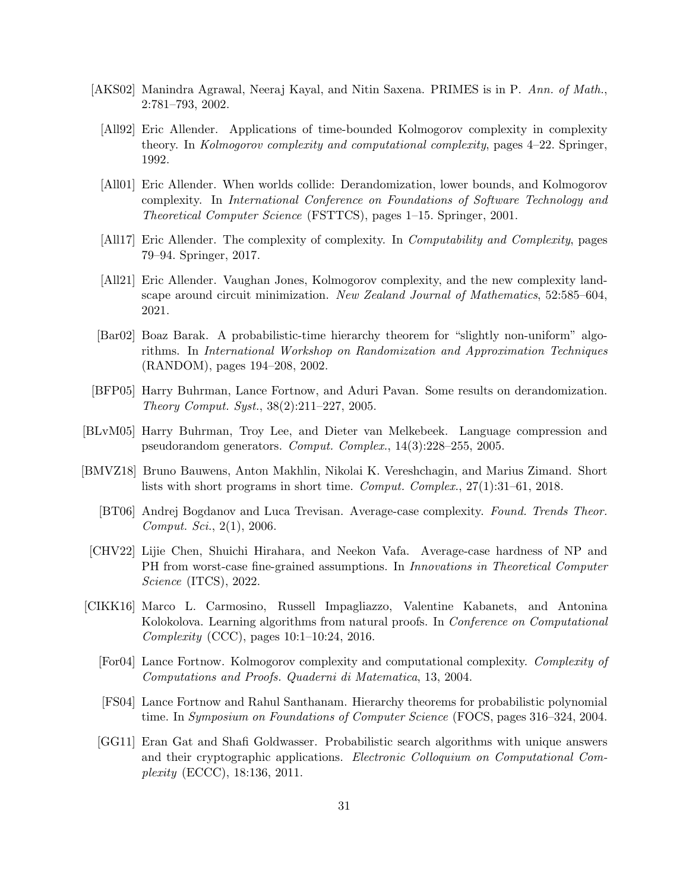- <span id="page-30-8"></span><span id="page-30-2"></span><span id="page-30-1"></span>[AKS02] Manindra Agrawal, Neeraj Kayal, and Nitin Saxena. PRIMES is in P. Ann. of Math., 2:781–793, 2002.
	- [All92] Eric Allender. Applications of time-bounded Kolmogorov complexity in complexity theory. In Kolmogorov complexity and computational complexity, pages 4–22. Springer, 1992.
	- [All01] Eric Allender. When worlds collide: Derandomization, lower bounds, and Kolmogorov complexity. In International Conference on Foundations of Software Technology and Theoretical Computer Science (FSTTCS), pages 1–15. Springer, 2001.
	- [All17] Eric Allender. The complexity of complexity. In *Computability and Complexity*, pages 79–94. Springer, 2017.
	- [All21] Eric Allender. Vaughan Jones, Kolmogorov complexity, and the new complexity landscape around circuit minimization. New Zealand Journal of Mathematics, 52:585–604, 2021.
- <span id="page-30-13"></span><span id="page-30-5"></span><span id="page-30-4"></span>[Bar02] Boaz Barak. A probabilistic-time hierarchy theorem for "slightly non-uniform" algorithms. In International Workshop on Randomization and Approximation Techniques (RANDOM), pages 194–208, 2002.
- <span id="page-30-12"></span>[BFP05] Harry Buhrman, Lance Fortnow, and Aduri Pavan. Some results on derandomization. Theory Comput. Syst., 38(2):211–227, 2005.
- <span id="page-30-7"></span>[BLvM05] Harry Buhrman, Troy Lee, and Dieter van Melkebeek. Language compression and pseudorandom generators. Comput. Complex., 14(3):228–255, 2005.
- <span id="page-30-11"></span><span id="page-30-9"></span>[BMVZ18] Bruno Bauwens, Anton Makhlin, Nikolai K. Vereshchagin, and Marius Zimand. Short lists with short programs in short time. Comput. Complex., 27(1):31–61, 2018.
	- [BT06] Andrej Bogdanov and Luca Trevisan. Average-case complexity. Found. Trends Theor. Comput. Sci., 2(1), 2006.
- <span id="page-30-10"></span>[CHV22] Lijie Chen, Shuichi Hirahara, and Neekon Vafa. Average-case hardness of NP and PH from worst-case fine-grained assumptions. In Innovations in Theoretical Computer Science (ITCS), 2022.
- <span id="page-30-14"></span><span id="page-30-6"></span><span id="page-30-3"></span><span id="page-30-0"></span>[CIKK16] Marco L. Carmosino, Russell Impagliazzo, Valentine Kabanets, and Antonina Kolokolova. Learning algorithms from natural proofs. In Conference on Computational Complexity (CCC), pages 10:1–10:24, 2016.
	- [For04] Lance Fortnow. Kolmogorov complexity and computational complexity. Complexity of Computations and Proofs. Quaderni di Matematica, 13, 2004.
	- [FS04] Lance Fortnow and Rahul Santhanam. Hierarchy theorems for probabilistic polynomial time. In Symposium on Foundations of Computer Science (FOCS, pages 316–324, 2004.
	- [GG11] Eran Gat and Shafi Goldwasser. Probabilistic search algorithms with unique answers and their cryptographic applications. Electronic Colloquium on Computational Complexity (ECCC), 18:136, 2011.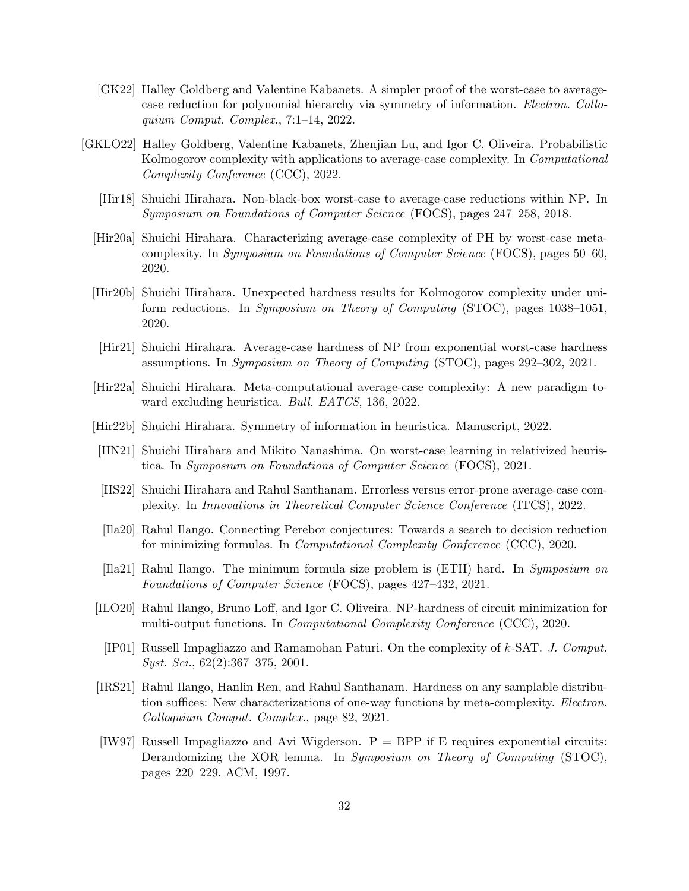- <span id="page-31-12"></span>[GK22] Halley Goldberg and Valentine Kabanets. A simpler proof of the worst-case to averagecase reduction for polynomial hierarchy via symmetry of information. Electron. Colloquium Comput. Complex., 7:1–14, 2022.
- <span id="page-31-15"></span><span id="page-31-14"></span><span id="page-31-13"></span><span id="page-31-11"></span><span id="page-31-10"></span><span id="page-31-9"></span><span id="page-31-8"></span><span id="page-31-7"></span><span id="page-31-6"></span><span id="page-31-5"></span><span id="page-31-4"></span><span id="page-31-3"></span><span id="page-31-2"></span><span id="page-31-1"></span><span id="page-31-0"></span>[GKLO22] Halley Goldberg, Valentine Kabanets, Zhenjian Lu, and Igor C. Oliveira. Probabilistic Kolmogorov complexity with applications to average-case complexity. In Computational Complexity Conference (CCC), 2022.
	- [Hir18] Shuichi Hirahara. Non-black-box worst-case to average-case reductions within NP. In Symposium on Foundations of Computer Science (FOCS), pages 247–258, 2018.
	- [Hir20a] Shuichi Hirahara. Characterizing average-case complexity of PH by worst-case metacomplexity. In Symposium on Foundations of Computer Science (FOCS), pages 50–60, 2020.
	- [Hir20b] Shuichi Hirahara. Unexpected hardness results for Kolmogorov complexity under uniform reductions. In Symposium on Theory of Computing (STOC), pages 1038–1051, 2020.
	- [Hir21] Shuichi Hirahara. Average-case hardness of NP from exponential worst-case hardness assumptions. In Symposium on Theory of Computing (STOC), pages 292–302, 2021.
	- [Hir22a] Shuichi Hirahara. Meta-computational average-case complexity: A new paradigm toward excluding heuristica. Bull. EATCS, 136, 2022.
	- [Hir22b] Shuichi Hirahara. Symmetry of information in heuristica. Manuscript, 2022.
	- [HN21] Shuichi Hirahara and Mikito Nanashima. On worst-case learning in relativized heuristica. In Symposium on Foundations of Computer Science (FOCS), 2021.
	- [HS22] Shuichi Hirahara and Rahul Santhanam. Errorless versus error-prone average-case complexity. In Innovations in Theoretical Computer Science Conference (ITCS), 2022.
	- [Ila20] Rahul Ilango. Connecting Perebor conjectures: Towards a search to decision reduction for minimizing formulas. In Computational Complexity Conference (CCC), 2020.
	- [Ila21] Rahul Ilango. The minimum formula size problem is (ETH) hard. In Symposium on Foundations of Computer Science (FOCS), pages 427–432, 2021.
	- [ILO20] Rahul Ilango, Bruno Loff, and Igor C. Oliveira. NP-hardness of circuit minimization for multi-output functions. In *Computational Complexity Conference* (CCC), 2020.
	- [IP01] Russell Impagliazzo and Ramamohan Paturi. On the complexity of k-SAT. J. Comput. Syst. Sci., 62(2):367–375, 2001.
	- [IRS21] Rahul Ilango, Hanlin Ren, and Rahul Santhanam. Hardness on any samplable distribution suffices: New characterizations of one-way functions by meta-complexity. Electron. Colloquium Comput. Complex., page 82, 2021.
	- [IW97] Russell Impagliazzo and Avi Wigderson.  $P = BPP$  if E requires exponential circuits: Derandomizing the XOR lemma. In Symposium on Theory of Computing (STOC), pages 220–229. ACM, 1997.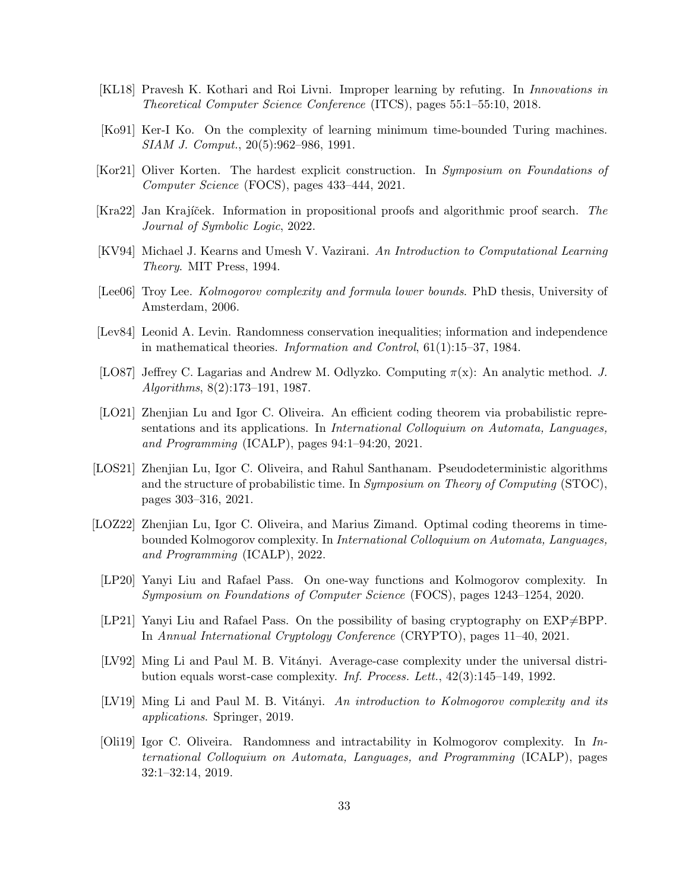- <span id="page-32-14"></span>[KL18] Pravesh K. Kothari and Roi Livni. Improper learning by refuting. In Innovations in Theoretical Computer Science Conference (ITCS), pages 55:1–55:10, 2018.
- <span id="page-32-4"></span>[Ko91] Ker-I Ko. On the complexity of learning minimum time-bounded Turing machines. SIAM J. Comput., 20(5):962–986, 1991.
- <span id="page-32-15"></span>[Kor21] Oliver Korten. The hardest explicit construction. In Symposium on Foundations of Computer Science (FOCS), pages 433–444, 2021.
- <span id="page-32-6"></span>[Kra22] Jan Krajíček. Information in propositional proofs and algorithmic proof search. The Journal of Symbolic Logic, 2022.
- <span id="page-32-13"></span>[KV94] Michael J. Kearns and Umesh V. Vazirani. An Introduction to Computational Learning Theory. MIT Press, 1994.
- <span id="page-32-7"></span>[Lee06] Troy Lee. *Kolmogorov complexity and formula lower bounds*. PhD thesis, University of Amsterdam, 2006.
- <span id="page-32-1"></span>[Lev84] Leonid A. Levin. Randomness conservation inequalities; information and independence in mathematical theories. Information and Control, 61(1):15–37, 1984.
- <span id="page-32-2"></span>[LO87] Jeffrey C. Lagarias and Andrew M. Odlyzko. Computing  $\pi(x)$ : An analytic method. J. Algorithms, 8(2):173–191, 1987.
- <span id="page-32-9"></span>[LO21] Zhenjian Lu and Igor C. Oliveira. An efficient coding theorem via probabilistic representations and its applications. In International Colloquium on Automata, Languages, and Programming (ICALP), pages 94:1–94:20, 2021.
- <span id="page-32-10"></span>[LOS21] Zhenjian Lu, Igor C. Oliveira, and Rahul Santhanam. Pseudodeterministic algorithms and the structure of probabilistic time. In Symposium on Theory of Computing (STOC), pages 303–316, 2021.
- <span id="page-32-11"></span>[LOZ22] Zhenjian Lu, Igor C. Oliveira, and Marius Zimand. Optimal coding theorems in timebounded Kolmogorov complexity. In International Colloquium on Automata, Languages, and Programming (ICALP), 2022.
- <span id="page-32-3"></span>[LP20] Yanyi Liu and Rafael Pass. On one-way functions and Kolmogorov complexity. In Symposium on Foundations of Computer Science (FOCS), pages 1243–1254, 2020.
- <span id="page-32-5"></span>[LP21] Yanyi Liu and Rafael Pass. On the possibility of basing cryptography on  $EXP\neq BPP$ . In Annual International Cryptology Conference (CRYPTO), pages 11–40, 2021.
- <span id="page-32-12"></span>[LV92] Ming Li and Paul M. B. Vitányi. Average-case complexity under the universal distribution equals worst-case complexity. Inf. Process. Lett., 42(3):145–149, 1992.
- <span id="page-32-0"></span>[LV19] Ming Li and Paul M. B. Vitányi. An introduction to Kolmogorov complexity and its applications. Springer, 2019.
- <span id="page-32-8"></span>[Oli19] Igor C. Oliveira. Randomness and intractability in Kolmogorov complexity. In International Colloquium on Automata, Languages, and Programming (ICALP), pages 32:1–32:14, 2019.